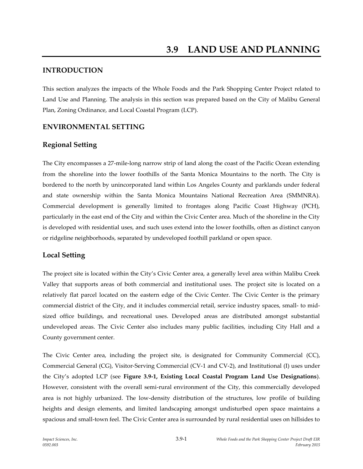# **INTRODUCTION**

This section analyzes the impacts of the Whole Foods and the Park Shopping Center Project related to Land Use and Planning. The analysis in this section was prepared based on the City of Malibu General Plan, Zoning Ordinance, and Local Coastal Program (LCP).

# **ENVIRONMENTAL SETTING**

# **Regional Setting**

The City encompasses a 27-mile-long narrow strip of land along the coast of the Pacific Ocean extending from the shoreline into the lower foothills of the Santa Monica Mountains to the north. The City is bordered to the north by unincorporated land within Los Angeles County and parklands under federal and state ownership within the Santa Monica Mountains National Recreation Area (SMMNRA). Commercial development is generally limited to frontages along Pacific Coast Highway (PCH), particularly in the east end of the City and within the Civic Center area. Much of the shoreline in the City is developed with residential uses, and such uses extend into the lower foothills, often as distinct canyon or ridgeline neighborhoods, separated by undeveloped foothill parkland or open space.

# **Local Setting**

The project site is located within the City's Civic Center area, a generally level area within Malibu Creek Valley that supports areas of both commercial and institutional uses. The project site is located on a relatively flat parcel located on the eastern edge of the Civic Center. The Civic Center is the primary commercial district of the City, and it includes commercial retail, service industry spaces, small- to midsized office buildings, and recreational uses. Developed areas are distributed amongst substantial undeveloped areas. The Civic Center also includes many public facilities, including City Hall and a County government center.

The Civic Center area, including the project site, is designated for Community Commercial (CC), Commercial General (CG), Visitor-Serving Commercial (CV-1 and CV-2), and Institutional (I) uses under the City's adopted LCP (see **Figure 3.9-1, Existing Local Coastal Program Land Use Designations**). However, consistent with the overall semi-rural environment of the City, this commercially developed area is not highly urbanized. The low-density distribution of the structures, low profile of building heights and design elements, and limited landscaping amongst undisturbed open space maintains a spacious and small-town feel. The Civic Center area is surrounded by rural residential uses on hillsides to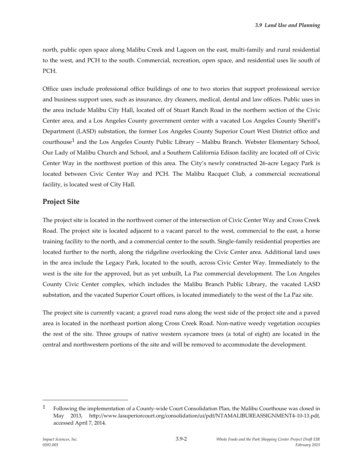north, public open space along Malibu Creek and Lagoon on the east, multi-family and rural residential to the west, and PCH to the south. Commercial, recreation, open space, and residential uses lie south of PCH.

Office uses include professional office buildings of one to two stories that support professional service and business support uses, such as insurance, dry cleaners, medical, dental and law offices. Public uses in the area include Malibu City Hall, located off of Stuart Ranch Road in the northern section of the Civic Center area, and a Los Angeles County government center with a vacated Los Angeles County Sheriff's Department (LASD) substation, the former Los Angeles County Superior Court West District office and courthouse<sup>1</sup> and the Los Angeles County Public Library – Malibu Branch. Webster Elementary School, Our Lady of Malibu Church and School, and a Southern California Edison facility are located off of Civic Center Way in the northwest portion of this area. The City's newly constructed 26-acre Legacy Park is located between Civic Center Way and PCH. The Malibu Racquet Club, a commercial recreational facility, is located west of City Hall.

### **Project Site**

The project site is located in the northwest corner of the intersection of Civic Center Way and Cross Creek Road. The project site is located adjacent to a vacant parcel to the west, commercial to the east, a horse training facility to the north, and a commercial center to the south. Single-family residential properties are located further to the north, along the ridgeline overlooking the Civic Center area. Additional land uses in the area include the Legacy Park, located to the south, across Civic Center Way. Immediately to the west is the site for the approved, but as yet unbuilt, La Paz commercial development. The Los Angeles County Civic Center complex, which includes the Malibu Branch Public Library, the vacated LASD substation, and the vacated Superior Court offices, is located immediately to the west of the La Paz site.

The project site is currently vacant; a gravel road runs along the west side of the project site and a paved area is located in the northeast portion along Cross Creek Road. Non-native weedy vegetation occupies the rest of the site. Three groups of native western sycamore trees (a total of eight) are located in the central and northwestern portions of the site and will be removed to accommodate the development.

<sup>&</sup>lt;sup>1</sup> Following the implementation of a County-wide Court Consolidation Plan, the Malibu Courthouse was closed in May 2013, http://www.lasuperiorcourt.org/consolidation/ui/pdf/NTAMALIBUREASSIGNMENT4-10-13.pdf, accessed April 7, 2014.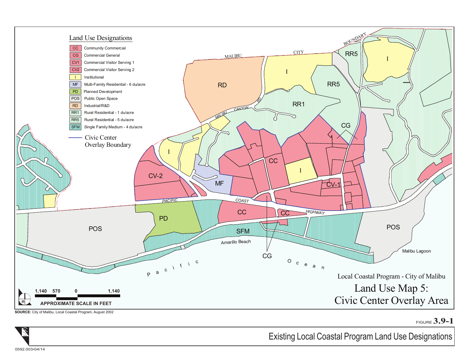

FIGURE **3.9-1**



Existing Local Coastal Program Land Use Designations

0592.003•04/14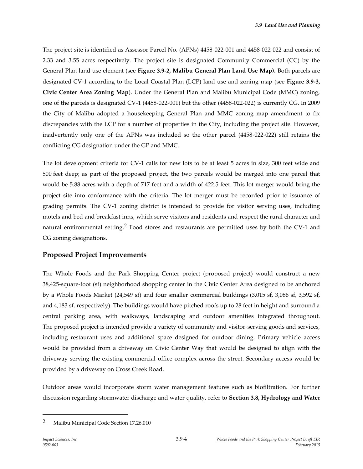The project site is identified as Assessor Parcel No. (APNs) 4458-022-001 and 4458-022-022 and consist of 2.33 and 3.55 acres respectively. The project site is designated Community Commercial (CC) by the General Plan land use element (see **Figure 3.9-2, Malibu General Plan Land Use Map).** Both parcels are designated CV-1 according to the Local Coastal Plan (LCP) land use and zoning map (see **Figure 3.9-3, Civic Center Area Zoning Map**). Under the General Plan and Malibu Municipal Code (MMC) zoning, one of the parcels is designated CV-1 (4458-022-001) but the other (4458-022-022) is currently CG. In 2009 the City of Malibu adopted a housekeeping General Plan and MMC zoning map amendment to fix discrepancies with the LCP for a number of properties in the City, including the project site. However, inadvertently only one of the APNs was included so the other parcel (4458-022-022) still retains the conflicting CG designation under the GP and MMC.

The lot development criteria for CV-1 calls for new lots to be at least 5 acres in size, 300 feet wide and 500 feet deep; as part of the proposed project, the two parcels would be merged into one parcel that would be 5.88 acres with a depth of 717 feet and a width of 422.5 feet. This lot merger would bring the project site into conformance with the criteria. The lot merger must be recorded prior to issuance of grading permits. The CV-1 zoning district is intended to provide for visitor serving uses, including motels and bed and breakfast inns, which serve visitors and residents and respect the rural character and natural environmental setting.<sup>2</sup> Food stores and restaurants are permitted uses by both the CV-1 and CG zoning designations.

# **Proposed Project Improvements**

The Whole Foods and the Park Shopping Center project (proposed project) would construct a new 38,425-square-foot (sf) neighborhood shopping center in the Civic Center Area designed to be anchored by a Whole Foods Market (24,549 sf) and four smaller commercial buildings (3,015 sf, 3,086 sf, 3,592 sf, and 4,183 sf, respectively). The buildings would have pitched roofs up to 28 feet in height and surround a central parking area, with walkways, landscaping and outdoor amenities integrated throughout. The proposed project is intended provide a variety of community and visitor-serving goods and services, including restaurant uses and additional space designed for outdoor dining. Primary vehicle access would be provided from a driveway on Civic Center Way that would be designed to align with the driveway serving the existing commercial office complex across the street. Secondary access would be provided by a driveway on Cross Creek Road.

Outdoor areas would incorporate storm water management features such as biofiltration. For further discussion regarding stormwater discharge and water quality, refer to **Section 3.8, Hydrology and Water** 

<sup>2</sup> Malibu Municipal Code Section 17.26.010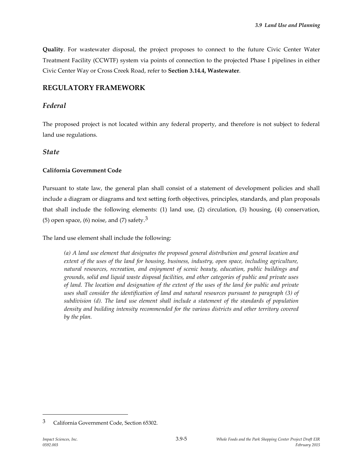**Quality**. For wastewater disposal, the project proposes to connect to the future Civic Center Water Treatment Facility (CCWTF) system via points of connection to the projected Phase I pipelines in either Civic Center Way or Cross Creek Road, refer to **Section 3.14.4, Wastewater**.

# **REGULATORY FRAMEWORK**

## *Federal*

The proposed project is not located within any federal property, and therefore is not subject to federal land use regulations.

## *State*

### **California Government Code**

Pursuant to state law, the general plan shall consist of a statement of development policies and shall include a diagram or diagrams and text setting forth objectives, principles, standards, and plan proposals that shall include the following elements: (1) land use, (2) circulation, (3) housing, (4) conservation, (5) open space, (6) noise, and (7) safety.<sup>3</sup>

The land use element shall include the following:

*(a) A land use element that designates the proposed general distribution and general location and extent of the uses of the land for housing, business, industry, open space, including agriculture, natural resources, recreation, and enjoyment of scenic beauty, education, public buildings and grounds, solid and liquid waste disposal facilities, and other categories of public and private uses of land. The location and designation of the extent of the uses of the land for public and private uses shall consider the identification of land and natural resources pursuant to paragraph (3) of subdivision (d). The land use element shall include a statement of the standards of population density and building intensity recommended for the various districts and other territory covered by the plan.*

<sup>3</sup> California Government Code, Section 65302.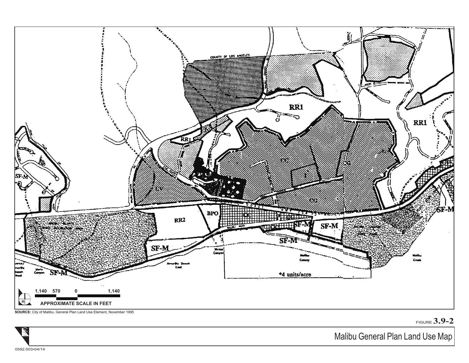

FIGURE **3.9-2**

Malibu General Plan Land Use Map

0592.003•04/14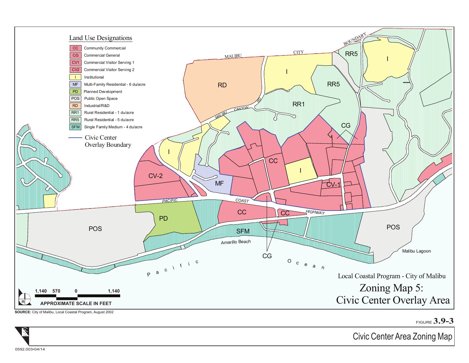

FIGURE **3.9-3**

Civic Center Area Zoning Map

0592.003•04/14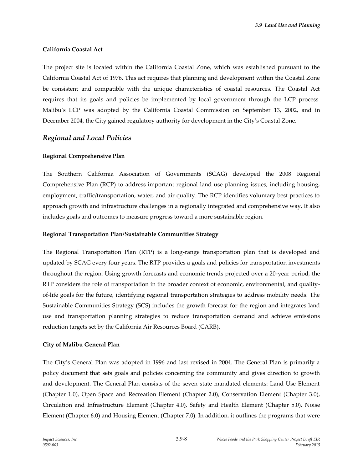#### **California Coastal Act**

The project site is located within the California Coastal Zone, which was established pursuant to the California Coastal Act of 1976. This act requires that planning and development within the Coastal Zone be consistent and compatible with the unique characteristics of coastal resources. The Coastal Act requires that its goals and policies be implemented by local government through the LCP process. Malibu's LCP was adopted by the California Coastal Commission on September 13, 2002, and in December 2004, the City gained regulatory authority for development in the City's Coastal Zone.

### *Regional and Local Policies*

#### **Regional Comprehensive Plan**

The Southern California Association of Governments (SCAG) developed the 2008 Regional Comprehensive Plan (RCP) to address important regional land use planning issues, including housing, employment, traffic/transportation, water, and air quality. The RCP identifies voluntary best practices to approach growth and infrastructure challenges in a regionally integrated and comprehensive way. It also includes goals and outcomes to measure progress toward a more sustainable region.

#### **Regional Transportation Plan/Sustainable Communities Strategy**

The Regional Transportation Plan (RTP) is a long-range transportation plan that is developed and updated by SCAG every four years. The RTP provides a goals and policies for transportation investments throughout the region. Using growth forecasts and economic trends projected over a 20-year period, the RTP considers the role of transportation in the broader context of economic, environmental, and qualityof-life goals for the future, identifying regional transportation strategies to address mobility needs. The Sustainable Communities Strategy (SCS) includes the growth forecast for the region and integrates land use and transportation planning strategies to reduce transportation demand and achieve emissions reduction targets set by the California Air Resources Board (CARB).

#### **City of Malibu General Plan**

The City's General Plan was adopted in 1996 and last revised in 2004. The General Plan is primarily a policy document that sets goals and policies concerning the community and gives direction to growth and development. The General Plan consists of the seven state mandated elements: Land Use Element (Chapter 1.0), Open Space and Recreation Element (Chapter 2.0), Conservation Element (Chapter 3.0), Circulation and Infrastructure Element (Chapter 4.0), Safety and Health Element (Chapter 5.0), Noise Element (Chapter 6.0) and Housing Element (Chapter 7.0). In addition, it outlines the programs that were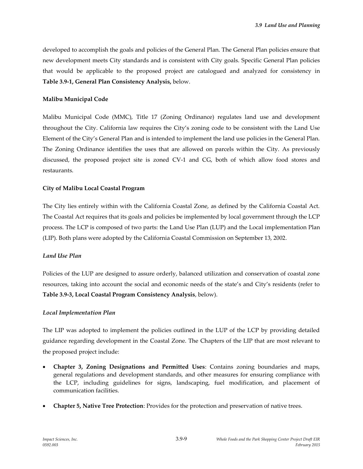developed to accomplish the goals and policies of the General Plan. The General Plan policies ensure that new development meets City standards and is consistent with City goals. Specific General Plan policies that would be applicable to the proposed project are catalogued and analyzed for consistency in **Table 3.9-1, General Plan Consistency Analysis,** below.

#### **Malibu Municipal Code**

Malibu Municipal Code (MMC), Title 17 (Zoning Ordinance) regulates land use and development throughout the City. California law requires the City's zoning code to be consistent with the Land Use Element of the City's General Plan and is intended to implement the land use policies in the General Plan. The Zoning Ordinance identifies the uses that are allowed on parcels within the City. As previously discussed, the proposed project site is zoned CV-1 and CG, both of which allow food stores and restaurants.

#### **City of Malibu Local Coastal Program**

The City lies entirely within with the California Coastal Zone, as defined by the California Coastal Act. The Coastal Act requires that its goals and policies be implemented by local government through the LCP process. The LCP is composed of two parts: the Land Use Plan (LUP) and the Local implementation Plan (LIP). Both plans were adopted by the California Coastal Commission on September 13, 2002.

#### *Land Use Plan*

Policies of the LUP are designed to assure orderly, balanced utilization and conservation of coastal zone resources, taking into account the social and economic needs of the state's and City's residents (refer to **Table 3.9-3, Local Coastal Program Consistency Analysis**, below).

#### *Local Implementation Plan*

The LIP was adopted to implement the policies outlined in the LUP of the LCP by providing detailed guidance regarding development in the Coastal Zone. The Chapters of the LIP that are most relevant to the proposed project include:

- **Chapter 3, Zoning Designations and Permitted Uses**: Contains zoning boundaries and maps, general regulations and development standards, and other measures for ensuring compliance with the LCP, including guidelines for signs, landscaping, fuel modification, and placement of communication facilities.
- **Chapter 5, Native Tree Protection**: Provides for the protection and preservation of native trees.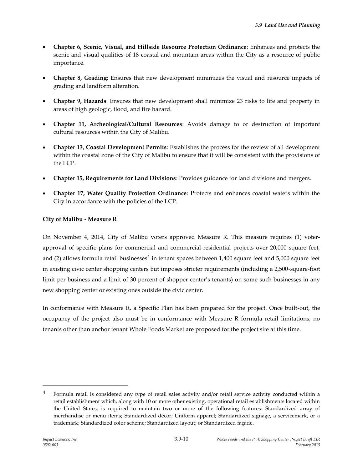- **Chapter 6, Scenic, Visual, and Hillside Resource Protection Ordinance**: Enhances and protects the scenic and visual qualities of 18 coastal and mountain areas within the City as a resource of public importance.
- **Chapter 8, Grading**: Ensures that new development minimizes the visual and resource impacts of grading and landform alteration.
- **Chapter 9, Hazards**: Ensures that new development shall minimize 23 risks to life and property in areas of high geologic, flood, and fire hazard.
- **Chapter 11, Archeological/Cultural Resources**: Avoids damage to or destruction of important cultural resources within the City of Malibu.
- **Chapter 13, Coastal Development Permits**: Establishes the process for the review of all development within the coastal zone of the City of Malibu to ensure that it will be consistent with the provisions of the LCP.
- **Chapter 15, Requirements for Land Divisions**: Provides guidance for land divisions and mergers.
- **Chapter 17, Water Quality Protection Ordinance**: Protects and enhances coastal waters within the City in accordance with the policies of the LCP.

### **City of Malibu - Measure R**

On November 4, 2014, City of Malibu voters approved Measure R. This measure requires (1) voterapproval of specific plans for commercial and commercial-residential projects over 20,000 square feet, and (2) allows formula retail businesses $4$  in tenant spaces between 1,400 square feet and 5,000 square feet in existing civic center shopping centers but imposes stricter requirements (including a 2,500-square-foot limit per business and a limit of 30 percent of shopper center's tenants) on some such businesses in any new shopping center or existing ones outside the civic center.

In conformance with Measure R, a Specific Plan has been prepared for the project. Once built-out, the occupancy of the project also must be in conformance with Measure R formula retail limitations; no tenants other than anchor tenant Whole Foods Market are proposed for the project site at this time.

 $4$  Formula retail is considered any type of retail sales activity and/or retail service activity conducted within a retail establishment which, along with 10 or more other existing, operational retail establishments located within the United States, is required to maintain two or more of the following features: Standardized array of merchandise or menu items; Standardized décor; Uniform apparel; Standardized signage, a servicemark, or a trademark; Standardized color scheme; Standardized layout; or Standardized façade.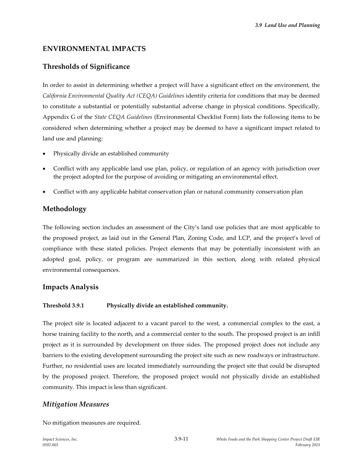# **ENVIRONMENTAL IMPACTS**

# **Thresholds of Significance**

In order to assist in determining whether a project will have a significant effect on the environment, the *California Environmental Quality Act (CEQA) Guidelines* identify criteria for conditions that may be deemed to constitute a substantial or potentially substantial adverse change in physical conditions. Specifically, Appendix G of the *State CEQA Guidelines* (Environmental Checklist Form) lists the following items to be considered when determining whether a project may be deemed to have a significant impact related to land use and planning:

- Physically divide an established community
- Conflict with any applicable land use plan, policy, or regulation of an agency with jurisdiction over the project adopted for the purpose of avoiding or mitigating an environmental effect.
- Conflict with any applicable habitat conservation plan or natural community conservation plan

# **Methodology**

The following section includes an assessment of the City's land use policies that are most applicable to the proposed project, as laid out in the General Plan, Zoning Code, and LCP, and the project's level of compliance with these stated policies. Project elements that may be potentially inconsistent with an adopted goal, policy, or program are summarized in this section, along with related physical environmental consequences.

# **Impacts Analysis**

### **Threshold 3.9.1 Physically divide an established community.**

The project site is located adjacent to a vacant parcel to the west, a commercial complex to the east, a horse training facility to the north, and a commercial center to the south. The proposed project is an infill project as it is surrounded by development on three sides. The proposed project does not include any barriers to the existing development surrounding the project site such as new roadways or infrastructure. Further, no residential uses are located immediately surrounding the project site that could be disrupted by the proposed project. Therefore, the proposed project would not physically divide an established community. This impact is less than significant.

# *Mitigation Measures*

No mitigation measures are required.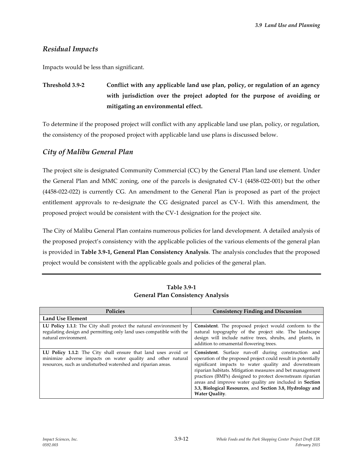# *Residual Impacts*

Impacts would be less than significant.

# **Threshold 3.9-2 Conflict with any applicable land use plan, policy, or regulation of an agency with jurisdiction over the project adopted for the purpose of avoiding or mitigating an environmental effect.**

To determine if the proposed project will conflict with any applicable land use plan, policy, or regulation, the consistency of the proposed project with applicable land use plans is discussed below.

# *City of Malibu General Plan*

The project site is designated Community Commercial (CC) by the General Plan land use element. Under the General Plan and MMC zoning, one of the parcels is designated CV-1 (4458-022-001) but the other (4458-022-022) is currently CG. An amendment to the General Plan is proposed as part of the project entitlement approvals to re-designate the CG designated parcel as CV-1. With this amendment, the proposed project would be consistent with the CV-1 designation for the project site.

The City of Malibu General Plan contains numerous policies for land development. A detailed analysis of the proposed project's consistency with the applicable policies of the various elements of the general plan is provided in **Table 3.9-1, General Plan Consistency Analysis**. The analysis concludes that the proposed project would be consistent with the applicable goals and policies of the general plan.

| <b>Policies</b>                                                                                                                                                                               | <b>Consistency Finding and Discussion</b>                                                                                                                                                                                                                                                                                                                                                                                                                    |
|-----------------------------------------------------------------------------------------------------------------------------------------------------------------------------------------------|--------------------------------------------------------------------------------------------------------------------------------------------------------------------------------------------------------------------------------------------------------------------------------------------------------------------------------------------------------------------------------------------------------------------------------------------------------------|
| Land Use Element                                                                                                                                                                              |                                                                                                                                                                                                                                                                                                                                                                                                                                                              |
| LU Policy 1.1.1: The City shall protect the natural environment by<br>regulating design and permitting only land uses compatible with the<br>natural environment.                             | Consistent. The proposed project would conform to the<br>natural topography of the project site. The landscape<br>design will include native trees, shrubs, and plants, in<br>addition to ornamental flowering trees.                                                                                                                                                                                                                                        |
| LU Policy 1.1.2: The City shall ensure that land uses avoid or<br>minimize adverse impacts on water quality and other natural<br>resources, such as undisturbed watershed and riparian areas. | <b>Consistent.</b> Surface run-off during construction and<br>operation of the proposed project could result in potentially<br>significant impacts to water quality and downstream<br>riparian habitats. Mitigation measures and bet management<br>practices (BMPs) designed to protect downstream riparian<br>areas and improve water quality are included in Section<br>3.3, Biological Resources, and Section 3.8, Hydrology and<br><b>Water Quality.</b> |

**Table 3.9-1 General Plan Consistency Analysis**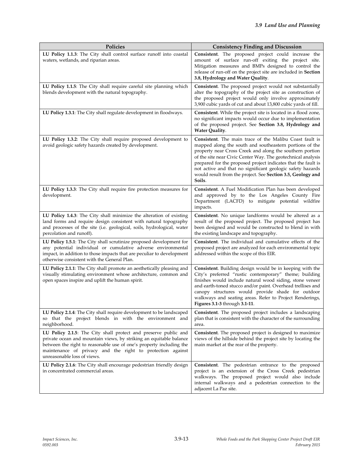| Policies                                                                                                                                                                                                                                                                                                  | <b>Consistency Finding and Discussion</b>                                                                                                                                                                                                                                                                                                                                                                                                              |
|-----------------------------------------------------------------------------------------------------------------------------------------------------------------------------------------------------------------------------------------------------------------------------------------------------------|--------------------------------------------------------------------------------------------------------------------------------------------------------------------------------------------------------------------------------------------------------------------------------------------------------------------------------------------------------------------------------------------------------------------------------------------------------|
| LU Policy 1.1.3: The City shall control surface runoff into coastal<br>waters, wetlands, and riparian areas.                                                                                                                                                                                              | Consistent. The proposed project could increase the<br>amount of surface run-off exiting the project site.<br>Mitigation measures and BMPs designed to control the<br>release of run-off on the project site are included in Section<br>3.8, Hydrology and Water Quality.                                                                                                                                                                              |
| LU Policy 1.1.5: The City shall require careful site planning which<br>blends development with the natural topography.                                                                                                                                                                                    | Consistent. The proposed project would not substantially<br>alter the topography of the project site as construction of<br>the proposed project would only involve approximately<br>3,900 cubic yards of cut and about 13,800 cubic yards of fill.                                                                                                                                                                                                     |
| LU Policy 1.3.1: The City shall regulate development in floodways.                                                                                                                                                                                                                                        | Consistent. While the project site is located in a flood zone,<br>no significant impacts would occur due to implementation<br>of the proposed project. See Section 3.8, Hydrology and<br>Water Quality.                                                                                                                                                                                                                                                |
| LU Policy 1.3.2: The City shall require proposed development to<br>avoid geologic safety hazards created by development.                                                                                                                                                                                  | Consistent. The main trace of the Malibu Coast fault is<br>mapped along the south and southeastern portions of the<br>property near Cross Creek and along the southern portion<br>of the site near Civic Center Way. The geotechnical analysis<br>prepared for the proposed project indicates that the fault is<br>not active and that no significant geologic safety hazards<br>would result from the project. See Section 3.5, Geology and<br>Soils. |
| LU Policy 1.3.3: The City shall require fire protection measures for<br>development.                                                                                                                                                                                                                      | Consistent. A Fuel Modification Plan has been developed<br>and approved by to the Los Angeles County Fire<br>Department (LACFD) to mitigate potential wildfire<br>impacts.                                                                                                                                                                                                                                                                             |
| LU Policy 1.4.3: The City shall minimize the alteration of existing<br>land forms and require design consistent with natural topography<br>and processes of the site (i.e. geological, soils, hydrological, water<br>percolation and runoff).                                                             | Consistent. No unique landforms would be altered as a<br>result of the proposed project. The proposed project has<br>been designed and would be constructed to blend in with<br>the existing landscape and topography.                                                                                                                                                                                                                                 |
| LU Policy 1.5.1: The City shall scrutinize proposed development for<br>any potential individual or cumulative adverse environmental<br>impact, in addition to those impacts that are peculiar to development<br>otherwise consistent with the General Plan.                                               | Consistent. The individual and cumulative effects of the<br>proposed project are analyzed for each environmental topic<br>addressed within the scope of this EIR.                                                                                                                                                                                                                                                                                      |
| LU Policy 2.1.1: The City shall promote an aesthetically pleasing and<br>visually stimulating environment whose architecture, common and<br>open spaces inspire and uplift the human spirit.                                                                                                              | Consistent. Building design would be in keeping with the<br>City's preferred "rustic contemporary" theme; building<br>finishes would include natural wood siding, stone veneer<br>and earth-toned stucco and/or paint. Overhead trellises and<br>canopy structures would provide shade for outdoor<br>walkways and seating areas. Refer to Project Renderings,<br>Figures 3.1-3 through 3.1-11.                                                        |
| LU Policy 2.1.4: The City shall require development to be landscaped<br>so that the project blends in with the environment and<br>neighborhood.                                                                                                                                                           | Consistent. The proposed project includes a landscaping<br>plan that is consistent with the character of the surrounding<br>area.                                                                                                                                                                                                                                                                                                                      |
| LU Policy 2.1.5: The City shall protect and preserve public and<br>private ocean and mountain views, by striking an equitable balance<br>between the right to reasonable use of one's property including the<br>maintenance of privacy and the right to protection against<br>unreasonable loss of views. | Consistent. The proposed project is designed to maximize<br>views of the hillside behind the project site by locating the<br>main market at the rear of the property.                                                                                                                                                                                                                                                                                  |
| LU Policy 2.1.6: The City shall encourage pedestrian friendly design<br>in concentrated commercial areas.                                                                                                                                                                                                 | Consistent. The pedestrian entrance to the proposed<br>project is an extension of the Cross Creek pedestrian<br>walkways. The proposed project would also include<br>internal walkways and a pedestrian connection to the<br>adjacent La Paz site.                                                                                                                                                                                                     |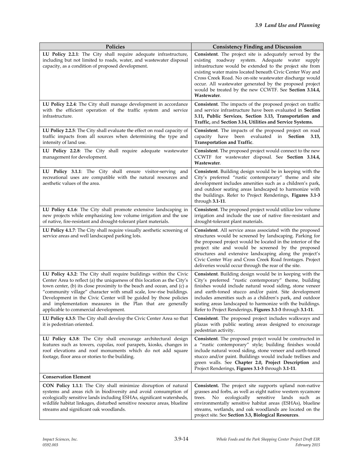| Policies                                                                                                                                                                                                                                                                                                                                                                                                                                                                   | <b>Consistency Finding and Discussion</b>                                                                                                                                                                                                                                                                                                                                                                                              |
|----------------------------------------------------------------------------------------------------------------------------------------------------------------------------------------------------------------------------------------------------------------------------------------------------------------------------------------------------------------------------------------------------------------------------------------------------------------------------|----------------------------------------------------------------------------------------------------------------------------------------------------------------------------------------------------------------------------------------------------------------------------------------------------------------------------------------------------------------------------------------------------------------------------------------|
| LU Policy 2.2.1: The City shall require adequate infrastructure,<br>including but not limited to roads, water, and wastewater disposal<br>capacity, as a condition of proposed development.                                                                                                                                                                                                                                                                                | Consistent. The project site is adequately served by the<br>existing roadway system. Adequate water supply<br>infrastructure would be extended to the project site from<br>existing water mains located beneath Civic Center Way and<br>Cross Creek Road. No on-site wastewater discharge would<br>occur. All wastewater generated by the proposed project<br>would be treated by the new CCWTF. See Section 3.14.4,<br>Wastewater.    |
| LU Policy 2.2.4: The City shall manage development in accordance<br>with the efficient operation of the traffic system and service<br>infrastructure.                                                                                                                                                                                                                                                                                                                      | <b>Consistent.</b> The impacts of the proposed project on traffic<br>and service infrastructure have been evaluated in Section<br>3.11, Public Services, Section 3.13, Transportation and<br>Traffic, and Section 3.14, Utilities and Service Systems.                                                                                                                                                                                 |
| LU Policy 2.2.5: The City shall evaluate the effect on road capacity of<br>traffic impacts from all sources when determining the type and<br>intensity of land use.                                                                                                                                                                                                                                                                                                        | Consistent. The impacts of the proposed project on road<br>have<br>been evaluated in <b>Section</b><br>capacity<br>3.13,<br><b>Transportation and Traffic.</b>                                                                                                                                                                                                                                                                         |
| LU Policy 2.2.8: The City shall require adequate wastewater<br>management for development.                                                                                                                                                                                                                                                                                                                                                                                 | <b>Consistent.</b> The proposed project would connect to the new<br>CCWTF for wastewater disposal. See Section 3.14.4,<br>Wastewater.                                                                                                                                                                                                                                                                                                  |
| LU Policy 3.1.1: The City shall ensure visitor-serving and<br>recreational uses are compatible with the natural resources and<br>aesthetic values of the area.                                                                                                                                                                                                                                                                                                             | Consistent. Building design would be in keeping with the<br>City's preferred "rustic contemporary" theme and site<br>development includes amenities such as a children's park,<br>and outdoor seating areas landscaped to harmonize with<br>the buildings. Refer to Project Renderings, Figures 3.1-3<br>through $3.1-11$ .                                                                                                            |
| LU Policy 4.1.6: The City shall promote extensive landscaping in<br>new projects while emphasizing low volume irrigation and the use<br>of native, fire-resistant and drought-tolerant plant materials.                                                                                                                                                                                                                                                                    | Consistent. The proposed project would utilize low volume<br>irrigation and include the use of native fire-resistant and<br>drought-tolerant plant materials.                                                                                                                                                                                                                                                                          |
| LU Policy 4.1.7: The City shall require visually aesthetic screening of<br>service areas and well landscaped parking lots.                                                                                                                                                                                                                                                                                                                                                 | <b>Consistent.</b> All service areas associated with the proposed<br>structures would be screened by landscaping. Parking for<br>the proposed project would be located in the interior of the<br>project site and would be screened by the proposed<br>structures and extensive landscaping along the project's<br>Civic Center Way and Cross Creek Road frontages. Project<br>deliveries would occur through the rear of the site.    |
| LU Policy 4.3.2: The City shall require buildings within the Civic<br>Center Area to reflect (a) the uniqueness of this location as the City's<br>town center, (b) its close proximity to the beach and ocean, and (c) a<br>"community village" character with small scale, low-rise buildings.<br>Development in the Civic Center will be guided by those policies<br>and implementation measures in the Plan that are generally<br>applicable to commercial development. | <b>Consistent.</b> Building design would be in keeping with the<br>City's preferred "rustic contemporary" theme, building<br>finishes would include natural wood siding, stone veneer<br>and earth-toned stucco and/or paint. Site development<br>includes amenities such as a children's park, and outdoor<br>seating areas landscaped to harmonize with the buildings.<br>Refer to Project Renderings, Figures 3.1-3 through 3.1-11. |
| LU Policy 4.3.5: The City shall develop the Civic Center Area so that<br>it is pedestrian oriented.                                                                                                                                                                                                                                                                                                                                                                        | Consistent. The proposed project includes walkways and<br>plazas with public seating areas designed to encourage<br>pedestrian activity.                                                                                                                                                                                                                                                                                               |
| LU Policy 4.3.8: The City shall encourage architectural design<br>features such as towers, cupolas, roof parapets, kiosks, changes in<br>roof elevations and roof monuments which do not add square<br>footage, floor area or stories to the building.                                                                                                                                                                                                                     | Consistent. The proposed project would be constructed in<br>a "rustic contemporary" style; building finishes would<br>include natural wood siding, stone veneer and earth-toned<br>stucco and/or paint. Buildings would include trellises and<br>green walls. See Chapter 2.0, Project Description and<br>Project Renderings, Figures 3.1-3 through 3.1-11.                                                                            |
| <b>Conservation Element</b>                                                                                                                                                                                                                                                                                                                                                                                                                                                |                                                                                                                                                                                                                                                                                                                                                                                                                                        |
| <b>CON Policy 1.1.1</b> : The City shall minimize disruption of natural<br>systems and areas rich in biodiversity and avoid consumption of<br>ecologically sensitive lands including ESHAs, significant watersheds,<br>wildlife habitat linkages, disturbed sensitive resource areas, blueline<br>streams and significant oak woodlands.                                                                                                                                   | Consistent. The project site supports upland non-native<br>grasses and forbs, as well as eight native western sycamore<br>No ecologically sensitive<br>lands such<br>trees.<br>as<br>environmentally sensitive habitat areas (ESHAs), blueline<br>streams, wetlands, and oak woodlands are located on the<br>project site. See Section 3.3, Biological Resources.                                                                      |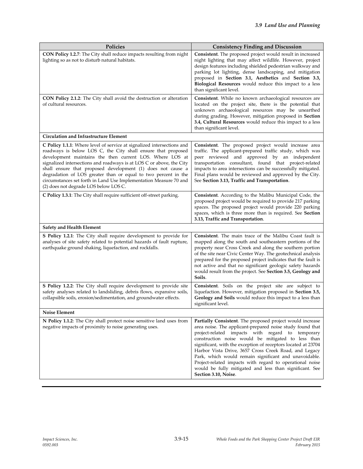| <b>Policies</b>                                                                                                                                                                                                                                                                                                                                                                                                                                                                                                           | <b>Consistency Finding and Discussion</b>                                                                                                                                                                                                                                                                                                                                                                                                                                                                                                                          |
|---------------------------------------------------------------------------------------------------------------------------------------------------------------------------------------------------------------------------------------------------------------------------------------------------------------------------------------------------------------------------------------------------------------------------------------------------------------------------------------------------------------------------|--------------------------------------------------------------------------------------------------------------------------------------------------------------------------------------------------------------------------------------------------------------------------------------------------------------------------------------------------------------------------------------------------------------------------------------------------------------------------------------------------------------------------------------------------------------------|
| CON Policy 1.2.7: The City shall reduce impacts resulting from night<br>lighting so as not to disturb natural habitats.                                                                                                                                                                                                                                                                                                                                                                                                   | Consistent. The proposed project would result in increased<br>night lighting that may affect wildlife. However, project<br>design features including shielded pedestrian walkway and<br>parking lot lighting, dense landscaping, and mitigation<br>proposed in Section 3.1, Aesthetics and Section 3.3,<br>Biological Resources would reduce this impact to a less<br>than significant level.                                                                                                                                                                      |
| CON Policy 2.1.2: The City shall avoid the destruction or alteration<br>of cultural resources.                                                                                                                                                                                                                                                                                                                                                                                                                            | Consistent. While no known archaeological resources are<br>located on the project site, there is the potential that<br>unknown archaeological resources may be unearthed<br>during grading. However, mitigation proposed in Section<br>3.4, Cultural Resources would reduce this impact to a less<br>than significant level.                                                                                                                                                                                                                                       |
| <b>Circulation and Infrastructure Element</b>                                                                                                                                                                                                                                                                                                                                                                                                                                                                             |                                                                                                                                                                                                                                                                                                                                                                                                                                                                                                                                                                    |
| C Policy 1.1.1: Where level of service at signalized intersections and<br>roadways is below LOS C, the City shall ensure that proposed<br>development maintains the then current LOS. Where LOS at<br>signalized intersections and roadways is at LOS C or above, the City<br>shall ensure that proposed development (1) does not cause a<br>degradation of LOS greater than or equal to two percent in the<br>circumstances set forth in Land Use Implementation Measure 70 and<br>(2) does not degrade LOS below LOS C. | Consistent. The proposed project would increase area<br>traffic. The applicant-prepared traffic study, which was<br>peer reviewed and approved by an independent<br>transportation consultant, found that project-related<br>impacts to area intersections can be successfully mitigated.<br>Final plans would be reviewed and approved by the City.<br>See Section 3.13, Traffic and Transportation.                                                                                                                                                              |
| C Policy 1.3.1: The City shall require sufficient off-street parking.                                                                                                                                                                                                                                                                                                                                                                                                                                                     | Consistent. According to the Malibu Municipal Code, the<br>proposed project would be required to provide 217 parking<br>spaces. The proposed project would provide 220 parking<br>spaces, which is three more than is required. See Section<br>3.13, Traffic and Transportation.                                                                                                                                                                                                                                                                                   |
| <b>Safety and Health Element</b>                                                                                                                                                                                                                                                                                                                                                                                                                                                                                          |                                                                                                                                                                                                                                                                                                                                                                                                                                                                                                                                                                    |
| S Policy 1.2.1: The City shall require development to provide for<br>analyses of site safety related to potential hazards of fault rupture,<br>earthquake ground shaking, liquefaction, and rockfalls.                                                                                                                                                                                                                                                                                                                    | Consistent. The main trace of the Malibu Coast fault is<br>mapped along the south and southeastern portions of the<br>property near Cross Creek and along the southern portion<br>of the site near Civic Center Way. The geotechnical analysis<br>prepared for the proposed project indicates that the fault is<br>not active and that no significant geologic safety hazards<br>would result from the project. See Section 3.5, Geology and<br>Soils.                                                                                                             |
| S Policy 1.2.2: The City shall require development to provide site<br>safety analyses related to landsliding, debris flows, expansive soils,<br>collapsible soils, erosion/sedimentation, and groundwater effects.                                                                                                                                                                                                                                                                                                        | Consistent. Soils on the project site are subject to<br>liquefaction. However, mitigation proposed in Section 3.5,<br>Geology and Soils would reduce this impact to a less than<br>significant level.                                                                                                                                                                                                                                                                                                                                                              |
| Noise Element                                                                                                                                                                                                                                                                                                                                                                                                                                                                                                             |                                                                                                                                                                                                                                                                                                                                                                                                                                                                                                                                                                    |
| N Policy 1.1.2: The City shall protect noise sensitive land uses from<br>negative impacts of proximity to noise generating uses.                                                                                                                                                                                                                                                                                                                                                                                          | Partially Consistent. The proposed project would increase<br>area noise. The applicant-prepared noise study found that<br>project-related impacts with regard to temporary<br>construction noise would be mitigated to less than<br>significant, with the exception of receptors located at 23704<br>Harbor Vista Drive, 3657 Cross Creek Road, and Legacy<br>Park, which would remain significant and unavoidable.<br>Project-related impacts with regard to operational noise<br>would be fully mitigated and less than significant. See<br>Section 3.10, Noise. |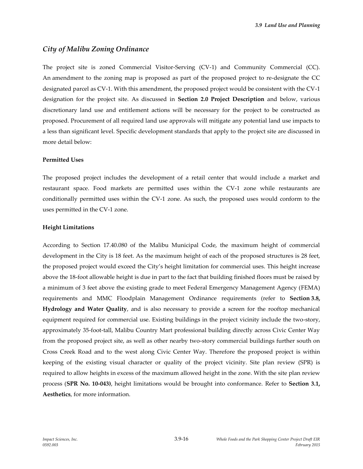#### *City of Malibu Zoning Ordinance*

The project site is zoned Commercial Visitor-Serving (CV-1) and Community Commercial (CC). An amendment to the zoning map is proposed as part of the proposed project to re-designate the CC designated parcel as CV-1. With this amendment, the proposed project would be consistent with the CV-1 designation for the project site. As discussed in **Section 2.0 Project Description** and below, various discretionary land use and entitlement actions will be necessary for the project to be constructed as proposed. Procurement of all required land use approvals will mitigate any potential land use impacts to a less than significant level. Specific development standards that apply to the project site are discussed in more detail below:

#### **Permitted Uses**

The proposed project includes the development of a retail center that would include a market and restaurant space. Food markets are permitted uses within the CV-1 zone while restaurants are conditionally permitted uses within the CV-1 zone. As such, the proposed uses would conform to the uses permitted in the CV-1 zone.

#### **Height Limitations**

According to Section 17.40.080 of the Malibu Municipal Code, the maximum height of commercial development in the City is 18 feet. As the maximum height of each of the proposed structures is 28 feet, the proposed project would exceed the City's height limitation for commercial uses. This height increase above the 18-foot allowable height is due in part to the fact that building finished floors must be raised by a minimum of 3 feet above the existing grade to meet Federal Emergency Management Agency (FEMA) requirements and MMC Floodplain Management Ordinance requirements (refer to **Section 3.8, Hydrology and Water Quality**, and is also necessary to provide a screen for the rooftop mechanical equipment required for commercial use. Existing buildings in the project vicinity include the two-story, approximately 35-foot-tall, Malibu Country Mart professional building directly across Civic Center Way from the proposed project site, as well as other nearby two-story commercial buildings further south on Cross Creek Road and to the west along Civic Center Way. Therefore the proposed project is within keeping of the existing visual character or quality of the project vicinity. Site plan review (SPR) is required to allow heights in excess of the maximum allowed height in the zone. With the site plan review process (**SPR No. 10-043)**, height limitations would be brought into conformance. Refer to **Section 3.1, Aesthetics**, for more information.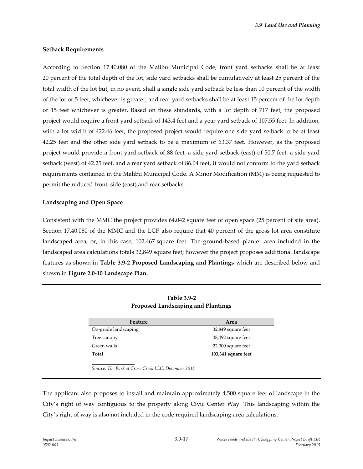#### **Setback Requirements**

According to Section 17.40.080 of the Malibu Municipal Code, front yard setbacks shall be at least 20 percent of the total depth of the lot, side yard setbacks shall be cumulatively at least 25 percent of the total width of the lot but, in no event, shall a single side yard setback be less than 10 percent of the width of the lot or 5 feet, whichever is greater, and rear yard setbacks shall be at least 15 percent of the lot depth or 15 feet whichever is greater. Based on these standards, with a lot depth of 717 feet, the proposed project would require a front yard setback of 143.4 feet and a year yard setback of 107.55 feet. In addition, with a lot width of 422.46 feet, the proposed project would require one side yard setback to be at least 42.25 feet and the other side yard setback to be a maximum of 63.37 feet. However, as the proposed project would provide a front yard setback of 88 feet, a side yard setback (east) of 50.7 feet, a side yard setback (west) of 42.25 feet, and a rear yard setback of 86.04 feet, it would not conform to the yard setback requirements contained in the Malibu Municipal Code. A Minor Modification (MM) is being requested to permit the reduced front, side (east) and rear setbacks.

#### **Landscaping and Open Space**

Consistent with the MMC the project provides 64,042 square feet of open space (25 percent of site area). Section 17.40.080 of the MMC and the LCP also require that 40 percent of the gross lot area constitute landscaped area, or, in this case, 102,467 square feet. The ground-based planter area included in the landscaped area calculations totals 32,849 square feet; however the project proposes additional landscape features as shown in **Table 3.9-2 Proposed Landscaping and Plantings** which are described below and shown in **Figure 2.0-10 Landscape Plan.**

| Feature              | Area                |
|----------------------|---------------------|
| On-grade landscaping | 32,849 square feet  |
| Tree canopy          | 48,492 square feet  |
| Green walls          | 22,000 square feet  |
| Total                | 103,341 square feet |

**Table 3.9-2 Proposed Landscaping and Plantings**

*Source: The Park at Cross Creek LLC, December 2014*

The applicant also proposes to install and maintain approximately 4,500 square feet of landscape in the City's right of way contiguous to the property along Civic Center Way. This landscaping within the City's right of way is also not included in the code required landscaping area calculations.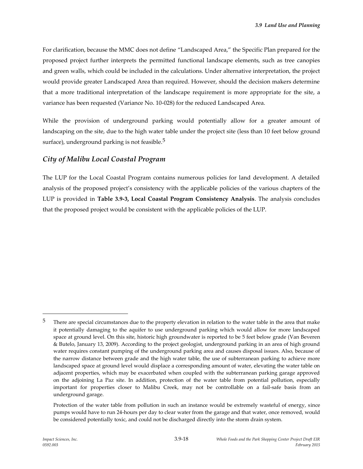For clarification, because the MMC does not define "Landscaped Area," the Specific Plan prepared for the proposed project further interprets the permitted functional landscape elements, such as tree canopies and green walls, which could be included in the calculations. Under alternative interpretation, the project would provide greater Landscaped Area than required. However, should the decision makers determine that a more traditional interpretation of the landscape requirement is more appropriate for the site, a variance has been requested (Variance No. 10-028) for the reduced Landscaped Area.

While the provision of underground parking would potentially allow for a greater amount of landscaping on the site, due to the high water table under the project site (less than 10 feet below ground surface), underground parking is not feasible. $5$ 

# *City of Malibu Local Coastal Program*

The LUP for the Local Coastal Program contains numerous policies for land development. A detailed analysis of the proposed project's consistency with the applicable policies of the various chapters of the LUP is provided in **Table 3.9-3, Local Coastal Program Consistency Analysis**. The analysis concludes that the proposed project would be consistent with the applicable policies of the LUP.

<sup>&</sup>lt;sup>5</sup> There are special circumstances due to the property elevation in relation to the water table in the area that make it potentially damaging to the aquifer to use underground parking which would allow for more landscaped space at ground level. On this site, historic high groundwater is reported to be 5 feet below grade (Van Beveren & Butelo, January 13, 2009). According to the project geologist, underground parking in an area of high ground water requires constant pumping of the underground parking area and causes disposal issues. Also, because of the narrow distance between grade and the high water table, the use of subterranean parking to achieve more landscaped space at ground level would displace a corresponding amount of water, elevating the water table on adjacent properties, which may be exacerbated when coupled with the subterranean parking garage approved on the adjoining La Paz site. In addition, protection of the water table from potential pollution, especially important for properties closer to Malibu Creek, may not be controllable on a fail-safe basis from an underground garage.

Protection of the water table from pollution in such an instance would be extremely wasteful of energy, since pumps would have to run 24-hours per day to clear water from the garage and that water, once removed, would be considered potentially toxic, and could not be discharged directly into the storm drain system.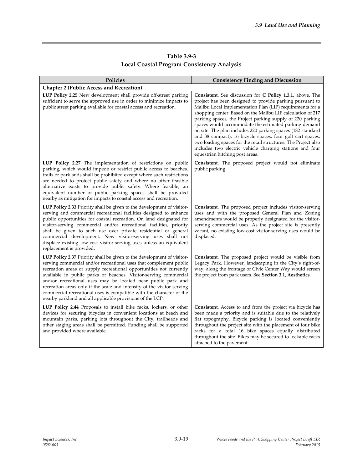# **Table 3.9-3 Local Coastal Program Consistency Analysis**

| Policies                                                                                                                                                                                                                                                                                                                                                                                                                                                                                                                                                                | <b>Consistency Finding and Discussion</b>                                                                                                                                                                                                                                                                                                                                                                                                                                                                                                                                                                                                                             |
|-------------------------------------------------------------------------------------------------------------------------------------------------------------------------------------------------------------------------------------------------------------------------------------------------------------------------------------------------------------------------------------------------------------------------------------------------------------------------------------------------------------------------------------------------------------------------|-----------------------------------------------------------------------------------------------------------------------------------------------------------------------------------------------------------------------------------------------------------------------------------------------------------------------------------------------------------------------------------------------------------------------------------------------------------------------------------------------------------------------------------------------------------------------------------------------------------------------------------------------------------------------|
| <b>Chapter 2 (Public Access and Recreation)</b>                                                                                                                                                                                                                                                                                                                                                                                                                                                                                                                         |                                                                                                                                                                                                                                                                                                                                                                                                                                                                                                                                                                                                                                                                       |
| LUP Policy 2.25 New development shall provide off-street parking<br>sufficient to serve the approved use in order to minimize impacts to<br>public street parking available for coastal access and recreation.                                                                                                                                                                                                                                                                                                                                                          | Consistent. See discussion for C Policy 1.3.1, above. The<br>project has been designed to provide parking pursuant to<br>Malibu Local Implementation Plan (LIP) requirements for a<br>shopping center. Based on the Malibu LIP calculation of 217<br>parking spaces, the Project parking supply of 220 parking<br>spaces would accommodate the estimated parking demand<br>on site. The plan includes 220 parking spaces (182 standard<br>and 38 compact), 16 bicycle spaces, four golf cart spaces,<br>two loading spaces for the retail structures. The Project also<br>includes two electric vehicle charging stations and four<br>equestrian hitching post areas. |
| LUP Policy 2.27 The implementation of restrictions on public<br>parking, which would impede or restrict public access to beaches,<br>trails or parklands shall be prohibited except where such restrictions<br>are needed to protect public safety and where no other feasible<br>alternative exists to provide public safety. Where feasible, an<br>equivalent number of public parking spaces shall be provided<br>nearby as mitigation for impacts to coastal access and recreation.                                                                                 | Consistent. The proposed project would not eliminate<br>public parking.                                                                                                                                                                                                                                                                                                                                                                                                                                                                                                                                                                                               |
| LUP Policy 2.33 Priority shall be given to the development of visitor-<br>serving and commercial recreational facilities designed to enhance<br>public opportunities for coastal recreation. On land designated for<br>visitor-serving commercial and/or recreational facilities, priority<br>shall be given to such use over private residential or general<br>commercial development. New visitor-serving uses shall not<br>displace existing low-cost visitor-serving uses unless an equivalent<br>replacement is provided.                                          | Consistent. The proposed project includes visitor-serving<br>uses and with the proposed General Plan and Zoning<br>amendments would be properly designated for the visitor-<br>serving commercial uses. As the project site is presently<br>vacant, no existing low-cost visitor-serving uses would be<br>displaced.                                                                                                                                                                                                                                                                                                                                                  |
| LUP Policy 2.37 Priority shall be given to the development of visitor-<br>serving commercial and/or recreational uses that complement public<br>recreation areas or supply recreational opportunities not currently<br>available in public parks or beaches. Visitor-serving commercial<br>and/or recreational uses may be located near public park and<br>recreation areas only if the scale and intensity of the visitor-serving<br>commercial recreational uses is compatible with the character of the<br>nearby parkland and all applicable provisions of the LCP. | Consistent. The proposed project would be visible from<br>Legacy Park. However, landscaping in the City's right-of-<br>way, along the frontage of Civic Center Way would screen<br>the project from park users. See Section 3.1, Aesthetics.                                                                                                                                                                                                                                                                                                                                                                                                                          |
| LUP Policy 2.44 Proposals to install bike racks, lockers, or other<br>devices for securing bicycles in convenient locations at beach and<br>mountain parks, parking lots throughout the City, trailheads and<br>other staging areas shall be permitted. Funding shall be supported<br>and provided where available.                                                                                                                                                                                                                                                     | Consistent. Access to and from the project via bicycle has<br>been made a priority and is suitable due to the relatively<br>flat topography. Bicycle parking is located conveniently<br>throughout the project site with the placement of four bike<br>racks for a total 16 bike spaces equally distributed<br>throughout the site. Bikes may be secured to lockable racks<br>attached to the pavement.                                                                                                                                                                                                                                                               |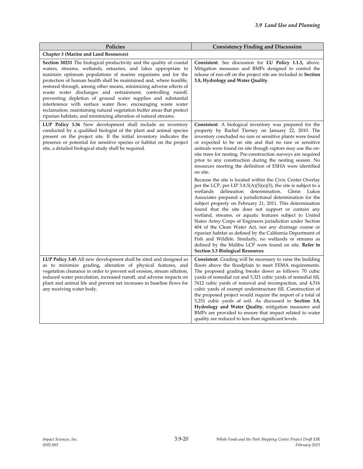| Policies                                                                                                                                                                                                                                                                                                                                                                                                                                                                                                                                                                                                                                                                                                 | <b>Consistency Finding and Discussion</b>                                                                                                                                                                                                                                                                                                                                                                                                                                                                                                                                                                                                                                                                                                                                                                                                                                                                                                                                                                                                                                                                                                                                                                                                                                                                            |
|----------------------------------------------------------------------------------------------------------------------------------------------------------------------------------------------------------------------------------------------------------------------------------------------------------------------------------------------------------------------------------------------------------------------------------------------------------------------------------------------------------------------------------------------------------------------------------------------------------------------------------------------------------------------------------------------------------|----------------------------------------------------------------------------------------------------------------------------------------------------------------------------------------------------------------------------------------------------------------------------------------------------------------------------------------------------------------------------------------------------------------------------------------------------------------------------------------------------------------------------------------------------------------------------------------------------------------------------------------------------------------------------------------------------------------------------------------------------------------------------------------------------------------------------------------------------------------------------------------------------------------------------------------------------------------------------------------------------------------------------------------------------------------------------------------------------------------------------------------------------------------------------------------------------------------------------------------------------------------------------------------------------------------------|
| <b>Chapter 3 (Marine and Land Resources)</b>                                                                                                                                                                                                                                                                                                                                                                                                                                                                                                                                                                                                                                                             |                                                                                                                                                                                                                                                                                                                                                                                                                                                                                                                                                                                                                                                                                                                                                                                                                                                                                                                                                                                                                                                                                                                                                                                                                                                                                                                      |
| <b>Section 30231</b> The biological productivity and the quality of coastal<br>waters, streams, wetlands, estuaries, and lakes appropriate to<br>maintain optimum populations of marine organisms and for the<br>protection of human health shall be maintained and, where feasible,<br>restored through, among other means, minimizing adverse effects of<br>waste water discharges and entrainment, controlling runoff,<br>preventing depletion of ground water supplies and substantial<br>interference with surface water flow, encouraging waste water<br>reclamation, maintaining natural vegetation buffer areas that protect<br>riparian habitats, and minimizing alteration of natural streams. | Consistent. See discussion for LU Policy 1.1.3, above.<br>Mitigation measures and BMPs designed to control the<br>release of run-off on the project site are included in <b>Section</b><br>3.8, Hydrology and Water Quality.                                                                                                                                                                                                                                                                                                                                                                                                                                                                                                                                                                                                                                                                                                                                                                                                                                                                                                                                                                                                                                                                                         |
| LUP Policy 3.36 New development shall include an inventory<br>conducted by a qualified biologist of the plant and animal species<br>present on the project site. If the initial inventory indicates the<br>presence or potential for sensitive species or habitat on the project<br>site, a detailed biological study shall be required.                                                                                                                                                                                                                                                                                                                                                                 | Consistent. A biological inventory was prepared for the<br>property by Rachel Tierney on January 22, 2010. The<br>inventory concluded no rare or sensitive plants were found<br>or expected to be on site and that no rare or sensitive<br>animals were found on site though raptors may use the on-<br>site trees for nesting. Pre-construction surveys are required<br>prior to any construction during the nesting season. No<br>resources meeting the definition of ESHA were identified<br>on site.<br>Because the site is located within the Civic Center Overlay<br>per the LCP, per LIP $3.8.5(A)(5)(e)(5)$ , the site is subject to a<br>delineation<br>wetlands<br>determination.<br>Glenn Lukos<br>Associates prepared a jurisdictional determination for the<br>subject property on February 21, 2011. This determination<br>found that the site does not support or contain any<br>wetland, streams, or aquatic features subject to United<br>States Army Corps of Engineers jurisdiction under Section<br>404 of the Clean Water Act, nor any drainage course or<br>riparian habitat as defined by the California Department of<br>Fish and Wildlife. Similarly, no wetlands or streams as<br>defined by the Malibu LCP were found on site. <b>Refer to</b><br><b>Section 3.3 Biological Resources</b> |
| LUP Policy 3.45 All new development shall be sited and designed so<br>as to minimize grading, alteration of physical features, and<br>vegetation clearance in order to prevent soil erosion, stream siltation,<br>reduced water percolation, increased runoff, and adverse impacts on<br>plant and animal life and prevent net increases in baseline flows for<br>any receiving water body.                                                                                                                                                                                                                                                                                                              | <b>Consistent.</b> Grading will be necessary to raise the building<br>floors above the floodplain to meet FEMA requirements.<br>The proposed grading breaks down as follows: 70 cubic<br>yards of remedial cut and 5,321 cubic yards of remedial fill,<br>7612 cubic yards of removal and recompaction, and 4,516<br>cubic yards of exempt understructure fill. Construction of<br>the proposed project would require the import of a total of<br>5,251 cubic yards of soil. As discussed in <b>Section 3.8,</b><br>Hydrology and Water Quality, mitigation measures and<br>BMPs are provided to ensure that impact related to water<br>quality are reduced to less than significant levels.                                                                                                                                                                                                                                                                                                                                                                                                                                                                                                                                                                                                                         |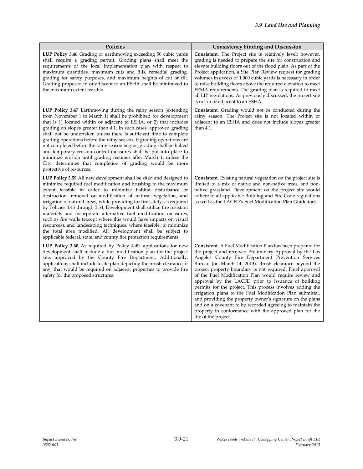| Policies                                                                                                                                                                                                                                                                                                                                                                                                                                                                                                                                                                                                                                                                                                                                                                                 | <b>Consistency Finding and Discussion</b>                                                                                                                                                                                                                                                                                                                                                                                                                                                                                                                                                                                                                                                                                                                         |
|------------------------------------------------------------------------------------------------------------------------------------------------------------------------------------------------------------------------------------------------------------------------------------------------------------------------------------------------------------------------------------------------------------------------------------------------------------------------------------------------------------------------------------------------------------------------------------------------------------------------------------------------------------------------------------------------------------------------------------------------------------------------------------------|-------------------------------------------------------------------------------------------------------------------------------------------------------------------------------------------------------------------------------------------------------------------------------------------------------------------------------------------------------------------------------------------------------------------------------------------------------------------------------------------------------------------------------------------------------------------------------------------------------------------------------------------------------------------------------------------------------------------------------------------------------------------|
| LUP Policy 3.46 Grading or earthmoving exceeding 50 cubic yards<br>shall require a grading permit. Grading plans shall meet the<br>requirements of the local implementation plan with respect to<br>maximum quantities, maximum cuts and fills, remedial grading,<br>grading for safety purposes, and maximum heights of cut or fill.<br>Grading proposed in or adjacent to an ESHA shall be minimized to<br>the maximum extent feasible.                                                                                                                                                                                                                                                                                                                                                | <b>Consistent.</b> The Project site is relatively level; however,<br>grading is needed to prepare the site for construction and<br>elevate building floors out of the flood plain. As part of the<br>Project application, a Site Plan Review request for grading<br>volumes in excess of 1,000 cubic yards is necessary in order<br>to raise building floors above the required elevation to meet<br>FEMA requirements. The grading plan is required to meet<br>all LIP regulations. As previously discussed, the project site<br>is not in or adjacent to an ESHA.                                                                                                                                                                                               |
| LUP Policy 3.47 Earthmoving during the rainy season (extending<br>from November 1 to March 1) shall be prohibited for development<br>that is 1) located within or adjacent to ESHA, or 2) that includes<br>grading on slopes greater than 4:1. In such cases, approved grading<br>shall not be undertaken unless there is sufficient time to complete<br>grading operations before the rainy season. If grading operations are<br>not completed before the rainy season begins, grading shall be halted<br>and temporary erosion control measures shall be put into place to<br>minimize erosion until grading resumes after March 1, unless the<br>City determines that completion of grading would be more<br>protective of resources.                                                 | Consistent. Grading would not be conducted during the<br>rainy season. The Project site is not located within or<br>adjacent to an ESHA and does not include slopes greater<br>than $4:1$ .                                                                                                                                                                                                                                                                                                                                                                                                                                                                                                                                                                       |
| LUP Policy 3.59 All new development shall be sited and designed to<br>minimize required fuel modification and brushing to the maximum<br>extent feasible in order to minimize habitat disturbance or<br>destruction, removal or modification of natural vegetation, and<br>irrigation of natural areas, while providing for fire safety, as required<br>by Policies 4.45 through 5.54, Development shall utilize fire resistant<br>materials and incorporate alternative fuel modification measures,<br>such as fire walls (except where this would have impacts on visual<br>resources), and landscaping techniques, where feasible, to minimize<br>the total area modified. All development shall be subject to<br>applicable federal, state, and county fire protection requirements. | <b>Consistent</b> . Existing natural vegetation on the project site is<br>limited to a mix of native and non-native trees, and non-<br>native grassland. Development on the project site would<br>adhere to all applicable Building and Fire Code regulations<br>as well as the LACFD's Fuel Modification Plan Guidelines.                                                                                                                                                                                                                                                                                                                                                                                                                                        |
| <b>LUP Policy 3.60</b> As required by Policy 4.49, applications for new<br>development shall include a fuel modification plan for the project<br>site, approved by the County Fire Department. Additionally,<br>applications shall include a site plan depicting the brush clearance, if<br>any, that would be required on adjacent properties to provide fire<br>safety for the proposed structures.                                                                                                                                                                                                                                                                                                                                                                                    | <b>Consistent.</b> A Fuel Modification Plan has been prepared for<br>the project and received Preliminary Approval by the Los<br>Angeles County Fire Department Prevention Services<br>Bureau (on March 14, 2013). Brush clearance beyond the<br>project property boundary is not required. Final approval<br>of the Fuel Modification Plan would require review and<br>approval by the LACFD prior to issuance of building<br>permits for the project. This process involves adding the<br>irrigation plans to the Fuel Modification Plan submittal,<br>and providing the property owner's signature on the plans<br>and on a covenant to be recorded agreeing to maintain the<br>property in conformance with the approved plan for the<br>life of the project. |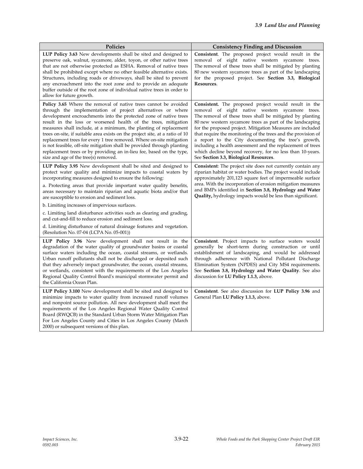| Policies                                                                                                                                                                                                                                                                                                                                                                                                                                                                                                                                                                                                                                                                                             | <b>Consistency Finding and Discussion</b>                                                                                                                                                                                                                                                                                                                                                                                                                                                                                                                                                          |
|------------------------------------------------------------------------------------------------------------------------------------------------------------------------------------------------------------------------------------------------------------------------------------------------------------------------------------------------------------------------------------------------------------------------------------------------------------------------------------------------------------------------------------------------------------------------------------------------------------------------------------------------------------------------------------------------------|----------------------------------------------------------------------------------------------------------------------------------------------------------------------------------------------------------------------------------------------------------------------------------------------------------------------------------------------------------------------------------------------------------------------------------------------------------------------------------------------------------------------------------------------------------------------------------------------------|
| LUP Policy 3.63 New developments shall be sited and designed to<br>preserve oak, walnut, sycamore, alder, toyon, or other native trees<br>that are not otherwise protected as ESHA. Removal of native trees<br>shall be prohibited except where no other feasible alternative exists.<br>Structures, including roads or driveways, shall be sited to prevent<br>any encroachment into the root zone and to provide an adequate<br>buffer outside of the root zone of individual native trees in order to<br>allow for future growth.                                                                                                                                                                 | Consistent. The proposed project would result in the<br>removal of eight native western sycamore trees.<br>The removal of these trees shall be mitigated by planting<br>80 new western sycamore trees as part of the landscaping<br>for the proposed project. See <b>Section 3.3, Biological</b><br>Resources.                                                                                                                                                                                                                                                                                     |
| <b>Policy 3.65</b> Where the removal of native trees cannot be avoided<br>through the implementation of project alternatives or where<br>development encroachments into the protected zone of native trees<br>result in the loss or worsened health of the trees, mitigation<br>measures shall include, at a minimum, the planting of replacement<br>trees on-site, if suitable area exists on the project site, at a ratio of 10<br>replacement trees for every 1 tree removed. Where on-site mitigation<br>is not feasible, off-site mitigation shall be provided through planting<br>replacement trees or by providing an in-lieu fee, based on the type,<br>size and age of the tree(s) removed. | <b>Consistent.</b> The proposed project would result in the<br>removal of eight native western sycamore trees.<br>The removal of these trees shall be mitigated by planting<br>80 new western sycamore trees as part of the landscaping<br>for the proposed project. Mitigation Measures are included<br>that require the monitoring of the trees and the provision of<br>a report to the City documenting the tree's growth,<br>including a health assessment and the replacement of trees<br>which decline beyond recovery, for no less than 10-years.<br>See Section 3.3, Biological Resources. |
| LUP Policy 3.95 New development shall be sited and designed to<br>protect water quality and minimize impacts to coastal waters by<br>incorporating measures designed to ensure the following:<br>a. Protecting areas that provide important water quality benefits,<br>areas necessary to maintain riparian and aquatic biota and/or that<br>are susceptible to erosion and sediment loss.<br>b. Limiting increases of impervious surfaces.<br>c. Limiting land disturbance activities such as clearing and grading,<br>and cut-and-fill to reduce erosion and sediment loss.<br>d. Limiting disturbance of natural drainage features and vegetation.                                                | <b>Consistent:</b> The project site does not currently contain any<br>riparian habitat or water bodies. The project would include<br>approximately 201,123 square feet of impermeable surface<br>area. With the incorporation of erosion mitigation measures<br>and BMPs identified in Section 3.8, Hydrology and Water<br><b>Quality,</b> hydrology impacts would be less than significant.                                                                                                                                                                                                       |
| (Resolution No. 07-04 (LCPA No. 05-001))<br>LUP Policy 3.96 New development shall not result in the<br>degradation of the water quality of groundwater basins or coastal<br>surface waters including the ocean, coastal streams, or wetlands.<br>Urban runoff pollutants shall not be discharged or deposited such<br>that they adversely impact groundwater, the ocean, coastal streams,<br>or wetlands, consistent with the requirements of the Los Angeles<br>Regional Quality Control Board's municipal stormwater permit and<br>the California Ocean Plan.                                                                                                                                      | <b>Consistent.</b> Project impacts to surface waters would<br>generally be short-term during construction or until<br>establishment of landscaping, and would be addressed<br>through adherence with National Pollutant Discharge<br>Elimination System (NPDES) and City MS4 requirements.<br>See Section 3.8, Hydrology and Water Quality. See also<br>discussion for LU Policy 1.1.3, above.                                                                                                                                                                                                     |
| LUP Policy 3.100 New development shall be sited and designed to<br>minimize impacts to water quality from increased runoff volumes<br>and nonpoint source pollution. All new development shall meet the<br>requirements of the Los Angeles Regional Water Quality Control<br>Board (RWQCB) in the Standard Urban Storm Water Mitigation Plan<br>For Los Angeles County and Cities in Los Angeles County (March<br>2000) or subsequent versions of this plan.                                                                                                                                                                                                                                         | Consistent. See also discussion for LUP Policy 3.96 and<br>General Plan <b>LU Policy 1.1.3</b> , above.                                                                                                                                                                                                                                                                                                                                                                                                                                                                                            |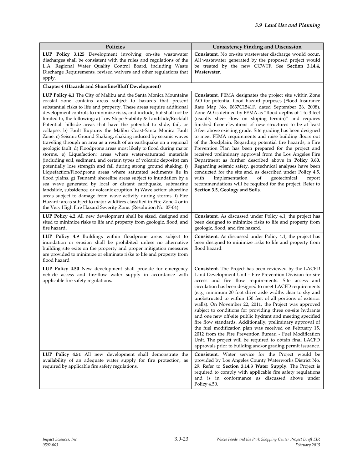| Policies                                                                                                                                                                                                                                                                                                                                                                                                                                                                                                                                                                                                                                                                                                                                                                                                                                                                                                                                                                                                                                                                                                                                                                                                                                                                                                                                                                                                                                                 | <b>Consistency Finding and Discussion</b>                                                                                                                                                                                                                                                                                                                                                                                                                                                                                                                                                                                                                                                                                                                                                                                                                                                                                                                                                                                   |
|----------------------------------------------------------------------------------------------------------------------------------------------------------------------------------------------------------------------------------------------------------------------------------------------------------------------------------------------------------------------------------------------------------------------------------------------------------------------------------------------------------------------------------------------------------------------------------------------------------------------------------------------------------------------------------------------------------------------------------------------------------------------------------------------------------------------------------------------------------------------------------------------------------------------------------------------------------------------------------------------------------------------------------------------------------------------------------------------------------------------------------------------------------------------------------------------------------------------------------------------------------------------------------------------------------------------------------------------------------------------------------------------------------------------------------------------------------|-----------------------------------------------------------------------------------------------------------------------------------------------------------------------------------------------------------------------------------------------------------------------------------------------------------------------------------------------------------------------------------------------------------------------------------------------------------------------------------------------------------------------------------------------------------------------------------------------------------------------------------------------------------------------------------------------------------------------------------------------------------------------------------------------------------------------------------------------------------------------------------------------------------------------------------------------------------------------------------------------------------------------------|
| LUP Policy 3.125 Development involving on-site wastewater<br>discharges shall be consistent with the rules and regulations of the<br>L.A. Regional Water Quality Control Board, including Waste<br>Discharge Requirements, revised waivers and other regulations that<br>apply.                                                                                                                                                                                                                                                                                                                                                                                                                                                                                                                                                                                                                                                                                                                                                                                                                                                                                                                                                                                                                                                                                                                                                                          | Consistent. No on-site wastewater discharge would occur.<br>All wastewater generated by the proposed project would<br>be treated by the new CCWTF. See Section 3.14.4,<br>Wastewater.                                                                                                                                                                                                                                                                                                                                                                                                                                                                                                                                                                                                                                                                                                                                                                                                                                       |
| <b>Chapter 4 (Hazards and Shoreline/Bluff Development)</b>                                                                                                                                                                                                                                                                                                                                                                                                                                                                                                                                                                                                                                                                                                                                                                                                                                                                                                                                                                                                                                                                                                                                                                                                                                                                                                                                                                                               |                                                                                                                                                                                                                                                                                                                                                                                                                                                                                                                                                                                                                                                                                                                                                                                                                                                                                                                                                                                                                             |
| LUP Policy 4.1 The City of Malibu and the Santa Monica Mountains<br>coastal zone contains areas subject to hazards that present<br>substantial risks to life and property. These areas require additional<br>development controls to minimize risks, and include, but shall not be<br>limited to, the following: a) Low Slope Stability & Landslide/Rockfall<br>Potential: hillside areas that have the potential to slide, fail, or<br>collapse. b) Fault Rupture: the Malibu Coast-Santa Monica Fault<br>Zone. c) Seismic Ground Shaking: shaking induced by seismic waves<br>traveling through an area as a result of an earthquake on a regional<br>geologic fault. d) Floodprone areas most likely to flood during major<br>storms. e) Liquefaction: areas where water-saturated materials<br>(including soil, sediment, and certain types of volcanic deposits) can<br>potentially lose strength and fail during strong ground shaking. f)<br>Liquefaction/Floodprone areas where saturated sediments lie in<br>flood plains. g) Tsunami: shoreline areas subject to inundation by a<br>sea wave generated by local or distant earthquake, submarine<br>landslide, subsidence, or volcanic eruption. h) Wave action: shoreline<br>areas subject to damage from wave activity during storms. i) Fire<br>Hazard: areas subject to major wildfires classified in Fire Zone 4 or in<br>the Very High Fire Hazard Severity Zone. (Resolution No. 07-04) | Consistent. FEMA designates the project site within Zone<br>AO for potential flood hazard purposes (Flood Insurance<br>Rate Map No. 0637C1541F, dated September 26, 2008).<br>Zone AO is defined by FEMA as "flood depths of 1 to 3 feet<br>(usually sheet flow on sloping terrain)" and requires<br>finished floor elevations of new structures to be at least<br>3 feet above existing grade. Site grading has been designed<br>to meet FEMA requirements and raise building floors out<br>of the floodplain. Regarding potential fire hazards, a Fire<br>Prevention Plan has been prepared for the project and<br>received preliminary approval from the Los Angeles Fire<br>Department as further described above in Policy 3.60.<br>Regarding seismic safety, geotechnical analyses have been<br>conducted for the site and, as described under Policy 4.5,<br>with<br>implementation<br>geotechnical<br>report<br>οf<br>recommendations will be required for the project. Refer to<br>Section 3.5, Geology and Soils. |
| LUP Policy 4.2 All new development shall be sized, designed and<br>sited to minimize risks to life and property from geologic, flood, and<br>fire hazard.                                                                                                                                                                                                                                                                                                                                                                                                                                                                                                                                                                                                                                                                                                                                                                                                                                                                                                                                                                                                                                                                                                                                                                                                                                                                                                | Consistent. As discussed under Policy 4.1, the project has<br>been designed to minimize risks to life and property from<br>geologic, flood, and fire hazard.                                                                                                                                                                                                                                                                                                                                                                                                                                                                                                                                                                                                                                                                                                                                                                                                                                                                |
| LUP Policy 4.9 Buildings within floodprone areas subject to<br>inundation or erosion shall be prohibited unless no alternative<br>building site exits on the property and proper mitigation measures<br>are provided to minimize or eliminate risks to life and property from<br>flood hazard                                                                                                                                                                                                                                                                                                                                                                                                                                                                                                                                                                                                                                                                                                                                                                                                                                                                                                                                                                                                                                                                                                                                                            | Consistent. As discussed under Policy 4.1, the project has<br>been designed to minimize risks to life and property from<br>flood hazard.                                                                                                                                                                                                                                                                                                                                                                                                                                                                                                                                                                                                                                                                                                                                                                                                                                                                                    |
| LUP Policy 4.50 New development shall provide for emergency<br>vehicle access and fire-flow water supply in accordance with<br>applicable fire safety regulations.                                                                                                                                                                                                                                                                                                                                                                                                                                                                                                                                                                                                                                                                                                                                                                                                                                                                                                                                                                                                                                                                                                                                                                                                                                                                                       | Consistent. The Project has been reviewed by the LACFD<br>Land Development Unit – Fire Prevention Division for site<br>access and fire flow requirements. Site access and<br>circulation has been designed to meet LACFD requirements<br>(e.g., minimum 20 foot drive aisle widths clear to sky and<br>unobstructed to within 150 feet of all portions of exterior<br>walls). On November 22, 2011, the Project was approved<br>subject to conditions for providing three on-site hydrants<br>and one new off-site public hydrant and meeting specified<br>fire flow standards. Additionally, preliminary approval of<br>the fuel modification plan was received on February 15,<br>2012 from the Fire Prevention Bureau - Fuel Modification<br>Unit. The project will be required to obtain final LACFD<br>approvals prior to building and/or grading permit issuance.                                                                                                                                                     |
| LUP Policy 4.51 All new development shall demonstrate the<br>availability of an adequate water supply for fire protection, as<br>required by applicable fire safety regulations.                                                                                                                                                                                                                                                                                                                                                                                                                                                                                                                                                                                                                                                                                                                                                                                                                                                                                                                                                                                                                                                                                                                                                                                                                                                                         | Consistent. Water service for the Project would be<br>provided by Los Angeles County Waterworks District No.<br>29. Refer to Section 3.14.3 Water Supply. The Project is<br>required to comply with applicable fire safety regulations<br>and is in conformance as discussed above under<br>Policy 4.50.                                                                                                                                                                                                                                                                                                                                                                                                                                                                                                                                                                                                                                                                                                                    |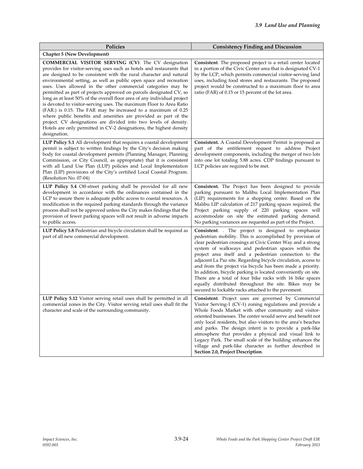| Policies                                                                                                                                                                                                                                                                                                                                                                                                                                                                                                                                                                                                                                                                                                                                                                                                                                                          | <b>Consistency Finding and Discussion</b>                                                                                                                                                                                                                                                                                                                                                                                                                                                                                                                                                                                                                                         |
|-------------------------------------------------------------------------------------------------------------------------------------------------------------------------------------------------------------------------------------------------------------------------------------------------------------------------------------------------------------------------------------------------------------------------------------------------------------------------------------------------------------------------------------------------------------------------------------------------------------------------------------------------------------------------------------------------------------------------------------------------------------------------------------------------------------------------------------------------------------------|-----------------------------------------------------------------------------------------------------------------------------------------------------------------------------------------------------------------------------------------------------------------------------------------------------------------------------------------------------------------------------------------------------------------------------------------------------------------------------------------------------------------------------------------------------------------------------------------------------------------------------------------------------------------------------------|
| <b>Chapter 5 (New Development)</b>                                                                                                                                                                                                                                                                                                                                                                                                                                                                                                                                                                                                                                                                                                                                                                                                                                |                                                                                                                                                                                                                                                                                                                                                                                                                                                                                                                                                                                                                                                                                   |
| COMMERCIAL VISITOR SERVING (CV): The CV designation<br>provides for visitor-serving uses such as hotels and restaurants that<br>are designed to be consistent with the rural character and natural<br>environmental setting, as well as public open space and recreation<br>uses. Uses allowed in the other commercial categories may be<br>permitted as part of projects approved on parcels designated CV, so<br>long as at least 50% of the overall floor area of any individual project<br>is devoted to visitor-serving uses. The maximum Floor to Area Ratio<br>(FAR.) is 0.15. The FAR may be increased to a maximum of 0.25<br>where public benefits and amenities are provided as part of the<br>project. CV designations are divided into two levels of density.<br>Hotels are only permitted in CV-2 designations, the highest density<br>designation. | Consistent. The proposed project is a retail center located<br>in a portion of the Civic Center area that is designated CV-1<br>by the LCP, which permits commercial visitor-serving land<br>uses, including food stores and restaurants. The proposed<br>project would be constructed to a maximum floor to area<br>ratio (FAR) of 0.15 or 15 percent of the lot area.                                                                                                                                                                                                                                                                                                           |
| <b>LUP Policy 5.1</b> All development that requires a coastal development<br>permit is subject to written findings by the City's decision making<br>body for coastal development permits (Planning Manager, Planning<br>Commission, or City Council, as appropriate) that it is consistent<br>with all Land Use Plan (LUP) policies and Local Implementation<br>Plan (LIP) provisions of the City's certified Local Coastal Program.<br>(Resolution No. 07-04)                                                                                                                                                                                                                                                                                                                                                                                                    | <b>Consistent.</b> A Coastal Development Permit is proposed as<br>part of the entitlement request to address Project<br>development components, including the merger of two lots<br>into one lot totaling 5.88 acres. CDP findings pursuant to<br>LCP policies are required to be met.                                                                                                                                                                                                                                                                                                                                                                                            |
| LUP Policy 5.4 Off-street parking shall be provided for all new<br>development in accordance with the ordinances contained in the<br>LCP to assure there is adequate public access to coastal resources. A<br>modification in the required parking standards through the variance<br>process shall not be approved unless the City makes findings that the<br>provision of fewer parking spaces will not result in adverse impacts<br>to public access.                                                                                                                                                                                                                                                                                                                                                                                                           | Consistent. The Project has been designed to provide<br>parking pursuant to Malibu Local Implementation Plan<br>(LIP) requirements for a shopping center. Based on the<br>Malibu LIP calculation of 217 parking spaces required, the<br>Project parking supply of 220 parking spaces will<br>accommodate on site the estimated parking demand.<br>No parking variances are requested as part of the Project.                                                                                                                                                                                                                                                                      |
| LUP Policy 5.8 Pedestrian and bicycle circulation shall be required as<br>part of all new commercial development.                                                                                                                                                                                                                                                                                                                                                                                                                                                                                                                                                                                                                                                                                                                                                 | <b>Consistent.</b> The project is designed to emphasize<br>pedestrian mobility. This is accomplished by provision of<br>clear pedestrian crossings at Civic Center Way and a strong<br>system of walkways and pedestrian spaces within the<br>project area itself and a pedestrian connection to the<br>adjacent La Paz site. Regarding bicycle circulation, access to<br>and from the project via bicycle has been made a priority.<br>In addition, bicycle parking is located conveniently on site.<br>There are a total of four bike racks with 16 bike spaces<br>equally distributed throughout the site. Bikes may be<br>secured to lockable racks attached to the pavement. |
| LUP Policy 5.12 Visitor serving retail uses shall be permitted in all<br>commercial zones in the City. Visitor serving retail uses shall fit the<br>character and scale of the surrounding community.                                                                                                                                                                                                                                                                                                                                                                                                                                                                                                                                                                                                                                                             | Consistent. Project uses are governed by Commercial<br>Visitor Serving-1 (CV-1) zoning regulations and provide a<br>Whole Foods Market with other community and visitor-<br>oriented businesses. The center would serve and benefit not<br>only local residents, but also visitors to the area's beaches<br>and parks. The design intent is to provide a park-like<br>atmosphere that provides a physical and visual link to<br>Legacy Park. The small scale of the building enhances the<br>village and park-like character as further described in<br>Section 2.0, Project Description.                                                                                         |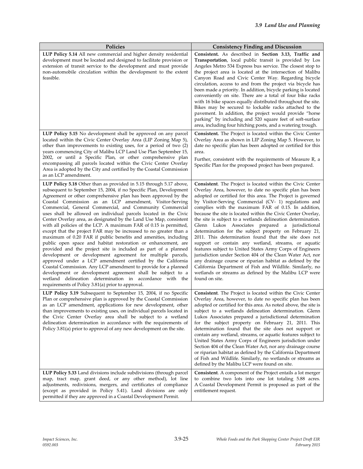| Policies                                                                                                                                                                                                                                                                                                                                                                                                                                                                                                                                                                                                                                                                                                                                                                                                                                                                                                                                                                                                                                                                                                                                                                                                 | <b>Consistency Finding and Discussion</b>                                                                                                                                                                                                                                                                                                                                                                                                                                                                                                                                                                                                                                                                                                                                                                                                                                                                                                                                                           |
|----------------------------------------------------------------------------------------------------------------------------------------------------------------------------------------------------------------------------------------------------------------------------------------------------------------------------------------------------------------------------------------------------------------------------------------------------------------------------------------------------------------------------------------------------------------------------------------------------------------------------------------------------------------------------------------------------------------------------------------------------------------------------------------------------------------------------------------------------------------------------------------------------------------------------------------------------------------------------------------------------------------------------------------------------------------------------------------------------------------------------------------------------------------------------------------------------------|-----------------------------------------------------------------------------------------------------------------------------------------------------------------------------------------------------------------------------------------------------------------------------------------------------------------------------------------------------------------------------------------------------------------------------------------------------------------------------------------------------------------------------------------------------------------------------------------------------------------------------------------------------------------------------------------------------------------------------------------------------------------------------------------------------------------------------------------------------------------------------------------------------------------------------------------------------------------------------------------------------|
| LUP Policy 5.14 All new commercial and higher density residential<br>development must be located and designed to facilitate provision or<br>extension of transit service to the development and must provide<br>non-automobile circulation within the development to the extent<br>feasible.                                                                                                                                                                                                                                                                                                                                                                                                                                                                                                                                                                                                                                                                                                                                                                                                                                                                                                             | Consistent. As described in Section 3.13, Traffic and<br>Transportation, local public transit is provided by Los<br>Angeles Metro 534 Express bus service. The closest stop to<br>the project area is located at the intersection of Malibu<br>Canyon Road and Civic Center Way. Regarding bicycle<br>circulation, access to and from the project via bicycle has<br>been made a priority. In addition, bicycle parking is located<br>conveniently on site. There are a total of four bike racks<br>with 16 bike spaces equally distributed throughout the site.<br>Bikes may be secured to lockable racks attached to the<br>pavement. In addition, the project would provide "horse<br>parking" by including and 520 square feet of soft-surface<br>area, including four hitching posts, and a watering trough.                                                                                                                                                                                   |
| LUP Policy 5.15 No development shall be approved on any parcel<br>located within the Civic Center Overlay Area (LIP Zoning Map 5),<br>other than improvements to existing uses, for a period of two (2)<br>years commencing City of Malibu LCP Land Use Plan September 15,<br>2002, or until a Specific Plan, or other comprehensive plan<br>encompassing all parcels located within the Civic Center Overlay<br>Area is adopted by the City and certified by the Coastal Commission<br>as an LCP amendment.                                                                                                                                                                                                                                                                                                                                                                                                                                                                                                                                                                                                                                                                                             | Consistent. The Project is located within the Civic Center<br>Overlay Area as shown in LIP Zoning Map 5. However, to<br>date no specific plan has been adopted or certified for this<br>area.<br>Further, consistent with the requirements of Measure R, a<br>Specific Plan for the proposed project has been prepared.                                                                                                                                                                                                                                                                                                                                                                                                                                                                                                                                                                                                                                                                             |
| LUP Policy 5.18 Other than as provided in 5.15 through 5.17 above,<br>subsequent to September 15, 2004, if no Specific Plan, Development<br>Agreement or other comprehensive plan has been approved by the<br>Coastal Commission as an LCP amendment, Visitor-Serving<br>Commercial, General Commercial, and Community Commercial<br>uses shall be allowed on individual parcels located in the Civic<br>Center Overlay area, as designated by the Land Use Map, consistent<br>with all policies of the LCP. A maximum FAR of 0.15 is permitted,<br>except that the project FAR may be increased to no greater than a<br>maximum of 0.20 FAR if public benefits and amenities, including<br>public open space and habitat restoration or enhancement, are<br>provided and the project site is included as part of a planned<br>development or development agreement for multiple parcels,<br>approved under a LCP amendment certified by the California<br>Coastal Commission. Any LCP amendment to provide for a planned<br>development or development agreement shall be subject to a<br>wetland delineation determination in accordance with the<br>requirements of Policy 3.81(a) prior to approval. | Consistent. The Project is located within the Civic Center<br>Overlay Area, however, to date no specific plan has been<br>adopted or certified for this area. The Project is governed<br>by Visitor-Serving Commercial (CV- 1) regulations and<br>complies with the maximum FAR of 0.15. In addition,<br>because the site is located within the Civic Center Overlay,<br>the site is subject to a wetlands delineation determination.<br>Glenn Lukos Associates prepared a jurisdictional<br>determination for the subject property on February 21,<br>2011. This determination found that the site does not<br>support or contain any wetland, streams, or aquatic<br>features subject to United States Army Corps of Engineers<br>jurisdiction under Section 404 of the Clean Water Act, nor<br>any drainage course or riparian habitat as defined by the<br>California Department of Fish and Wildlife. Similarly, no<br>wetlands or streams as defined by the Malibu LCP were<br>found on site. |
| LUP Policy 5.19 Subsequent to September 15, 2004, if no Specific<br>Plan or comprehensive plan is approved by the Coastal Commission<br>as an LCP amendment, applications for new development, other<br>than improvements to existing uses, on individual parcels located in<br>the Civic Center Overlay area shall be subject to a wetland<br>delineation determination in accordance with the requirements of<br>Policy 3.81(a) prior to approval of any new development on the site.                                                                                                                                                                                                                                                                                                                                                                                                                                                                                                                                                                                                                                                                                                                  | <b>Consistent</b> . The Project is located within the Civic Center<br>Overlay Area, however, to date no specific plan has been<br>adopted or certified for this area. As noted above, the site is<br>subject to a wetlands delineation determination. Glenn<br>Lukos Associates prepared a jurisdictional determination<br>for the subject property on February 21, 2011. This<br>determination found that the site does not support or<br>contain any wetland, streams, or aquatic features subject to<br>United States Army Corps of Engineers jurisdiction under<br>Section 404 of the Clean Water Act, nor any drainage course<br>or riparian habitat as defined by the California Department<br>of Fish and Wildlife. Similarly, no wetlands or streams as<br>defined by the Malibu LCP were found on site.                                                                                                                                                                                    |
| LUP Policy 5.33 Land divisions include subdivisions (through parcel<br>map, tract map, grant deed, or any other method), lot line<br>adjustments, redivisions, mergers, and certificates of compliance<br>(except as provided in Policy 5.41). Land divisions are only<br>permitted if they are approved in a Coastal Development Permit.                                                                                                                                                                                                                                                                                                                                                                                                                                                                                                                                                                                                                                                                                                                                                                                                                                                                | <b>Consistent.</b> A component of the Project entails a lot merger<br>to combine two lots into one lot totaling 5.88 acres.<br>A Coastal Development Permit is proposed as part of the<br>entitlement request.                                                                                                                                                                                                                                                                                                                                                                                                                                                                                                                                                                                                                                                                                                                                                                                      |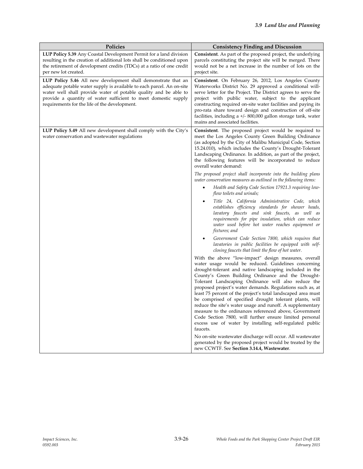| Policies                                                                                                                                                                                                                                                                                                                      | <b>Consistency Finding and Discussion</b>                                                                                                                                                                                                                                                                                                                                                                                                                                                                                                                                                                                                                                                                                            |
|-------------------------------------------------------------------------------------------------------------------------------------------------------------------------------------------------------------------------------------------------------------------------------------------------------------------------------|--------------------------------------------------------------------------------------------------------------------------------------------------------------------------------------------------------------------------------------------------------------------------------------------------------------------------------------------------------------------------------------------------------------------------------------------------------------------------------------------------------------------------------------------------------------------------------------------------------------------------------------------------------------------------------------------------------------------------------------|
| LUP Policy 5.39 Any Coastal Development Permit for a land division<br>resulting in the creation of additional lots shall be conditioned upon<br>the retirement of development credits (TDCs) at a ratio of one credit<br>per new lot created.                                                                                 | Consistent. As part of the proposed project, the underlying<br>parcels constituting the project site will be merged. There<br>would not be a net increase in the number of lots on the<br>project site.                                                                                                                                                                                                                                                                                                                                                                                                                                                                                                                              |
| LUP Policy 5.46 All new development shall demonstrate that an<br>adequate potable water supply is available to each parcel. An on-site<br>water well shall provide water of potable quality and be able to<br>provide a quantity of water sufficient to meet domestic supply<br>requirements for the life of the development. | Consistent. On February 26, 2012, Los Angeles County<br>Waterworks District No. 29 approved a conditional will-<br>serve letter for the Project. The District agrees to serve the<br>project with public water, subject to the applicant<br>constructing required on-site water facilities and paying its<br>pro-rata share toward design and construction of off-site<br>facilities, including a $+/-$ 800,000 gallon storage tank, water<br>mains and associated facilities.                                                                                                                                                                                                                                                       |
| LUP Policy 5.49 All new development shall comply with the City's<br>water conservation and wastewater regulations                                                                                                                                                                                                             | <b>Consistent</b> . The proposed project would be required to<br>meet the Los Angeles County Green Building Ordinance<br>(as adopted by the City of Malibu Municipal Code, Section<br>15.24.010), which includes the County's Drought-Tolerant<br>Landscaping Ordinance. In addition, as part of the project,<br>the following features will be incorporated to reduce<br>overall water demand:                                                                                                                                                                                                                                                                                                                                      |
|                                                                                                                                                                                                                                                                                                                               | The proposed project shall incorporate into the building plans<br>water conservation measures as outlined in the following items:<br>Health and Safety Code Section 17921.3 requiring low-                                                                                                                                                                                                                                                                                                                                                                                                                                                                                                                                           |
|                                                                                                                                                                                                                                                                                                                               | flow toilets and urinals;                                                                                                                                                                                                                                                                                                                                                                                                                                                                                                                                                                                                                                                                                                            |
|                                                                                                                                                                                                                                                                                                                               | Title 24, California Administrative Code, which<br>٠<br>establishes efficiency standards for shower heads,<br>lavatory faucets and sink faucets, as well as<br>requirements for pipe insulation, which can reduce<br>water used before hot water reaches equipment or<br>fixtures; and                                                                                                                                                                                                                                                                                                                                                                                                                                               |
|                                                                                                                                                                                                                                                                                                                               | Government Code Section 7800, which requires that<br>٠<br>lavatories in public facilities be equipped with self-<br>closing faucets that limit the flow of hot water.                                                                                                                                                                                                                                                                                                                                                                                                                                                                                                                                                                |
|                                                                                                                                                                                                                                                                                                                               | With the above "low-impact" design measures, overall<br>water usage would be reduced. Guidelines concerning<br>drought-tolerant and native landscaping included in the<br>County's Green Building Ordinance and the Drought-<br>Tolerant Landscaping Ordinance will also reduce the<br>proposed project's water demands. Regulations such as, at<br>least 75 percent of the project's total landscaped area must<br>be comprised of specified drought tolerant plants, will<br>reduce the site's water usage and runoff. A supplementary<br>measure to the ordinances referenced above, Government<br>Code Section 7800, will further ensure limited personal<br>excess use of water by installing self-regulated public<br>faucets. |
|                                                                                                                                                                                                                                                                                                                               | No on-site wastewater discharge will occur. All wastewater<br>generated by the proposed project would be treated by the<br>new CCWTF. See Section 3.14.4, Wastewater.                                                                                                                                                                                                                                                                                                                                                                                                                                                                                                                                                                |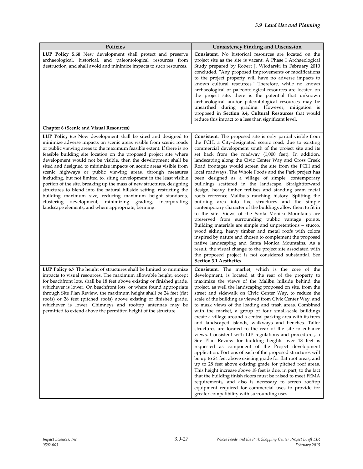| Policies                                                                                                                                                                                                                                                                                                                                                                                                                                                                                                                                                                                                                                                                                                                                                                                                                                                                                                  | <b>Consistency Finding and Discussion</b>                                                                                                                                                                                                                                                                                                                                                                                                                                                                                                                                                                                                                                                                                                                                                                                                                                                                                                                                                                                                                                                                                                                                                                                                                                                                                                                 |
|-----------------------------------------------------------------------------------------------------------------------------------------------------------------------------------------------------------------------------------------------------------------------------------------------------------------------------------------------------------------------------------------------------------------------------------------------------------------------------------------------------------------------------------------------------------------------------------------------------------------------------------------------------------------------------------------------------------------------------------------------------------------------------------------------------------------------------------------------------------------------------------------------------------|-----------------------------------------------------------------------------------------------------------------------------------------------------------------------------------------------------------------------------------------------------------------------------------------------------------------------------------------------------------------------------------------------------------------------------------------------------------------------------------------------------------------------------------------------------------------------------------------------------------------------------------------------------------------------------------------------------------------------------------------------------------------------------------------------------------------------------------------------------------------------------------------------------------------------------------------------------------------------------------------------------------------------------------------------------------------------------------------------------------------------------------------------------------------------------------------------------------------------------------------------------------------------------------------------------------------------------------------------------------|
| LUP Policy 5.60 New development shall protect and preserve<br>archaeological, historical, and paleontological resources from<br>destruction, and shall avoid and minimize impacts to such resources.                                                                                                                                                                                                                                                                                                                                                                                                                                                                                                                                                                                                                                                                                                      | <b>Consistent.</b> No historical resources are located on the<br>project site as the site is vacant. A Phase I Archaeological<br>Study prepared by Robert J. Wlodarski in February 2010<br>concluded, "Any proposed improvements or modifications<br>to the project property will have no adverse impacts to<br>known cultural resources." Therefore, while no known<br>archaeological or paleontological resources are located on<br>the project site, there is the potential that unknown<br>archaeological and/or paleontological resources may be<br>unearthed during grading. However, mitigation is<br>proposed in Section 3.4, Cultural Resources that would<br>reduce this impact to a less than significant level.                                                                                                                                                                                                                                                                                                                                                                                                                                                                                                                                                                                                                               |
| <b>Chapter 6 (Scenic and Visual Resources)</b>                                                                                                                                                                                                                                                                                                                                                                                                                                                                                                                                                                                                                                                                                                                                                                                                                                                            |                                                                                                                                                                                                                                                                                                                                                                                                                                                                                                                                                                                                                                                                                                                                                                                                                                                                                                                                                                                                                                                                                                                                                                                                                                                                                                                                                           |
| LUP Policy 6.5 New development shall be sited and designed to<br>minimize adverse impacts on scenic areas visible from scenic roads<br>or public viewing areas to the maximum feasible extent. If there is no<br>feasible building site location on the proposed project site where<br>development would not be visible, then the development shall be<br>sited and designed to minimize impacts on scenic areas visible from<br>scenic highways or public viewing areas, through measures<br>including, but not limited to, siting development in the least visible<br>portion of the site, breaking up the mass of new structures, designing<br>structures to blend into the natural hillside setting, restricting the<br>building maximum size, reducing maximum height standards,<br>clustering development, minimizing grading, incorporating<br>landscape elements, and where appropriate, berming. | Consistent. The proposed site is only partial visible from<br>the PCH, a City-designated scenic road, due to existing<br>commercial development south of the project site and its<br>set back from the roadway (1,000 feet). In addition,<br>landscaping along the Civic Center Way and Cross Creek<br>Road frontages would screen the site from the PCH and<br>local roadways. The Whole Foods and the Park project has<br>been designed as a village of simple, contemporary<br>buildings scattered in the landscape. Straightforward<br>design, heavy timber trellises and standing seam metal<br>roofs reference Malibu's ranching history. Splitting the<br>building area into five structures and the simple<br>contemporary character of the buildings allow them to fit in<br>to the site. Views of the Santa Monica Mountains are<br>preserved from surrounding public vantage points.<br>Building materials are simple and unpretentious – stucco,<br>wood siding, heavy timber and metal roofs with colors<br>inspired by nature and chosen to complement the proposed<br>native landscaping and Santa Monica Mountains. As a<br>result, the visual change to the project site associated with<br>the proposed project is not considered substantial. See<br>Section 3.1 Aesthetics.                                                           |
| LUP Policy 6.7 The height of structures shall be limited to minimize<br>impacts to visual resources. The maximum allowable height, except<br>for beachfront lots, shall be 18 feet above existing or finished grade,<br>whichever is lower. On beachfront lots, or where found appropriate<br>through Site Plan Review, the maximum height shall be 24 feet (flat<br>roofs) or 28 feet (pitched roofs) above existing or finished grade,<br>whichever is lower. Chimneys and rooftop antennas may be<br>permitted to extend above the permitted height of the structure.                                                                                                                                                                                                                                                                                                                                  | <b>Consistent.</b> The market, which is the core of the<br>development, is located at the rear of the property to<br>maximize the views of the Malibu hillside behind the<br>project, as well the landscaping proposed on site, from the<br>street and sidewalk on Civic Center Way, to reduce the<br>scale of the building as viewed from Civic Center Way, and<br>to mask views of the loading and trash areas. Combined<br>with the market, a group of four small-scale buildings<br>create a village around a central parking area with its trees<br>and landscaped islands, walkways and benches. Taller<br>structures are located to the rear of the site to enhance<br>views. Consistent with LIP regulations and procedures, a<br>Site Plan Review for building heights over 18 feet is<br>requested as component of the Project development<br>application. Portions of each of the proposed structures will<br>be up to 24 feet above existing grade for flat roof areas, and<br>up to 28 feet above existing grade for pitched roof areas.<br>This height increase above 18 feet is due, in part, to the fact<br>that the building finish floors must be raised to meet FEMA<br>requirements, and also is necessary to screen rooftop<br>equipment required for commercial uses to provide for<br>greater compatibility with surrounding uses. |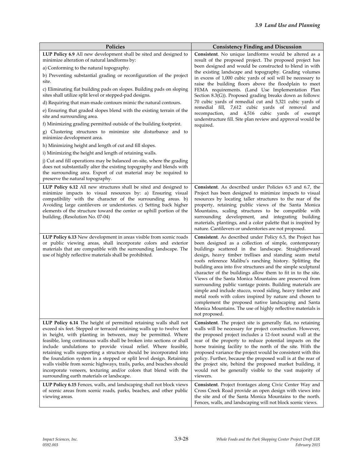| Policies                                                                                                                                                                                                                                                                                                                                                                                                                                                                                                                                                                                                                                                                                      | <b>Consistency Finding and Discussion</b>                                                                                                                                                                                                                                                                                                                                                                                                                                                                                                                                                                                                                                                                                                                                                                                        |
|-----------------------------------------------------------------------------------------------------------------------------------------------------------------------------------------------------------------------------------------------------------------------------------------------------------------------------------------------------------------------------------------------------------------------------------------------------------------------------------------------------------------------------------------------------------------------------------------------------------------------------------------------------------------------------------------------|----------------------------------------------------------------------------------------------------------------------------------------------------------------------------------------------------------------------------------------------------------------------------------------------------------------------------------------------------------------------------------------------------------------------------------------------------------------------------------------------------------------------------------------------------------------------------------------------------------------------------------------------------------------------------------------------------------------------------------------------------------------------------------------------------------------------------------|
| LUP Policy 6.9 All new development shall be sited and designed to<br>minimize alteration of natural landforms by:                                                                                                                                                                                                                                                                                                                                                                                                                                                                                                                                                                             | <b>Consistent.</b> No unique landforms would be altered as a<br>result of the proposed project. The proposed project has                                                                                                                                                                                                                                                                                                                                                                                                                                                                                                                                                                                                                                                                                                         |
| a) Conforming to the natural topography.                                                                                                                                                                                                                                                                                                                                                                                                                                                                                                                                                                                                                                                      | been designed and would be constructed to blend in with                                                                                                                                                                                                                                                                                                                                                                                                                                                                                                                                                                                                                                                                                                                                                                          |
| b) Preventing substantial grading or reconfiguration of the project<br>site.                                                                                                                                                                                                                                                                                                                                                                                                                                                                                                                                                                                                                  | the existing landscape and topography. Grading volumes<br>in excess of 1,000 cubic yards of soil will be necessary to<br>raise the building floors above the floodplain to meet<br>FEMA requirements. (Land Use Implementation Plan<br>Section $8.3(G)$ ). Proposed grading breaks down as follows:                                                                                                                                                                                                                                                                                                                                                                                                                                                                                                                              |
| c) Eliminating flat building pads on slopes. Building pads on sloping<br>sites shall utilize split level or stepped-pad designs.                                                                                                                                                                                                                                                                                                                                                                                                                                                                                                                                                              |                                                                                                                                                                                                                                                                                                                                                                                                                                                                                                                                                                                                                                                                                                                                                                                                                                  |
| d) Requiring that man-made contours mimic the natural contours.                                                                                                                                                                                                                                                                                                                                                                                                                                                                                                                                                                                                                               | 70 cubic yards of remedial cut and 5,321 cubic yards of                                                                                                                                                                                                                                                                                                                                                                                                                                                                                                                                                                                                                                                                                                                                                                          |
| e) Ensuring that graded slopes blend with the existing terrain of the<br>site and surrounding area.                                                                                                                                                                                                                                                                                                                                                                                                                                                                                                                                                                                           | remedial fill, 7,612 cubic yards of removal and<br>recompaction, and 4,516 cubic yards of exempt<br>understructure fill. Site plan review and approval would be                                                                                                                                                                                                                                                                                                                                                                                                                                                                                                                                                                                                                                                                  |
| f) Minimizing grading permitted outside of the building footprint.                                                                                                                                                                                                                                                                                                                                                                                                                                                                                                                                                                                                                            | required.                                                                                                                                                                                                                                                                                                                                                                                                                                                                                                                                                                                                                                                                                                                                                                                                                        |
| g) Clustering structures to minimize site disturbance and to<br>minimize development area.                                                                                                                                                                                                                                                                                                                                                                                                                                                                                                                                                                                                    |                                                                                                                                                                                                                                                                                                                                                                                                                                                                                                                                                                                                                                                                                                                                                                                                                                  |
| h) Minimizing height and length of cut and fill slopes.                                                                                                                                                                                                                                                                                                                                                                                                                                                                                                                                                                                                                                       |                                                                                                                                                                                                                                                                                                                                                                                                                                                                                                                                                                                                                                                                                                                                                                                                                                  |
| i) Minimizing the height and length of retaining walls.                                                                                                                                                                                                                                                                                                                                                                                                                                                                                                                                                                                                                                       |                                                                                                                                                                                                                                                                                                                                                                                                                                                                                                                                                                                                                                                                                                                                                                                                                                  |
| j) Cut and fill operations may be balanced on-site, where the grading<br>does not substantially alter the existing topography and blends with<br>the surrounding area. Export of cut material may be required to<br>preserve the natural topography.                                                                                                                                                                                                                                                                                                                                                                                                                                          |                                                                                                                                                                                                                                                                                                                                                                                                                                                                                                                                                                                                                                                                                                                                                                                                                                  |
| LUP Policy 6.12 All new structures shall be sited and designed to<br>minimize impacts to visual resources by: a) Ensuring visual<br>compatibility with the character of the surrounding areas. b)<br>Avoiding large cantilevers or understories. c) Setting back higher<br>elements of the structure toward the center or uphill portion of the<br>building. (Resolution No. 07-04)                                                                                                                                                                                                                                                                                                           | <b>Consistent.</b> As described under Policies 6.5 and 6.7, the<br>Project has been designed to minimize impacts to visual<br>resources by locating taller structures to the rear of the<br>property, retaining public views of the Santa Monica<br>Mountains, scaling structures to be compatible with<br>surrounding development, and integrating building<br>materials, plantings, and a color palette that is inspired by<br>nature. Cantilevers or understories are not proposed.                                                                                                                                                                                                                                                                                                                                           |
| LUP Policy 6.13 New development in areas visible from scenic roads<br>or public viewing areas, shall incorporate colors and exterior<br>materials that are compatible with the surrounding landscape. The<br>use of highly reflective materials shall be prohibited.                                                                                                                                                                                                                                                                                                                                                                                                                          | <b>Consistent.</b> As described under Policy 6.5, the Project has<br>been designed as a collection of simple, contemporary<br>buildings scattered in the landscape. Straightforward<br>design, heavy timber trellises and standing seam metal<br>roofs reference Malibu's ranching history. Splitting the<br>building area into five structures and the simple sculptural<br>character of the buildings allow them to fit in to the site.<br>Views of the Santa Monica Mountains are preserved from<br>surrounding public vantage points. Building materials are<br>simple and include stucco, wood siding, heavy timber and<br>metal roofs with colors inspired by nature and chosen to<br>complement the proposed native landscaping and Santa<br>Monica Mountains. The use of highly reflective materials is<br>not proposed. |
| LUP Policy 6.14 The height of permitted retaining walls shall not<br>exceed six feet. Stepped or terraced retaining walls up to twelve feet<br>in height, with planting in between, may be permitted. Where<br>feasible, long continuous walls shall be broken into sections or shall<br>include undulations to provide visual relief. Where feasible,<br>retaining walls supporting a structure should be incorporated into<br>the foundation system in a stepped or split level design. Retaining<br>walls visible from scenic highways, trails, parks, and beaches should<br>incorporate veneers, texturing and/or colors that blend with the<br>surrounding earth materials or landscape. | Consistent. The project site is generally flat, no retaining<br>walls will be necessary for project construction. However,<br>the proposed project includes a 12-foot sound wall at the<br>rear of the property to reduce potential impacts on the<br>horse training facility to the north of the site. With the<br>proposed variance the project would be consistent with this<br>policy. Further, because the proposed wall is at the rear of<br>the project site, behind the proposed market building, it<br>would not be generally visible to the vast majority of<br>viewers.                                                                                                                                                                                                                                               |
| LUP Policy 6.15 Fences, walls, and landscaping shall not block views<br>of scenic areas from scenic roads, parks, beaches, and other public<br>viewing areas.                                                                                                                                                                                                                                                                                                                                                                                                                                                                                                                                 | Consistent. Project frontages along Civic Center Way and<br>Cross Creek Road provide an open design with views into<br>the site and of the Santa Monica Mountains to the north.<br>Fences, walls, and landscaping will not block scenic views.                                                                                                                                                                                                                                                                                                                                                                                                                                                                                                                                                                                   |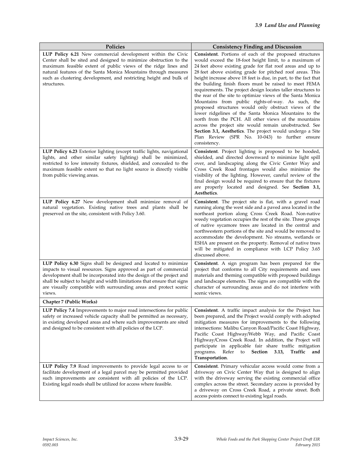| Policies                                                                                                                                                                                                                                                                                                                                                               | <b>Consistency Finding and Discussion</b>                                                                                                                                                                                                                                                                                                                                                                                                                                                                                                                                                                                                                                                                                                                                                                                                                                                                                                     |
|------------------------------------------------------------------------------------------------------------------------------------------------------------------------------------------------------------------------------------------------------------------------------------------------------------------------------------------------------------------------|-----------------------------------------------------------------------------------------------------------------------------------------------------------------------------------------------------------------------------------------------------------------------------------------------------------------------------------------------------------------------------------------------------------------------------------------------------------------------------------------------------------------------------------------------------------------------------------------------------------------------------------------------------------------------------------------------------------------------------------------------------------------------------------------------------------------------------------------------------------------------------------------------------------------------------------------------|
| LUP Policy 6.21 New commercial development within the Civic<br>Center shall be sited and designed to minimize obstruction to the<br>maximum feasible extent of public views of the ridge lines and<br>natural features of the Santa Monica Mountains through measures<br>such as clustering development, and restricting height and bulk of<br>structures.             | <b>Consistent.</b> Portions of each of the proposed structures<br>would exceed the 18-foot height limit, to a maximum of<br>24 feet above existing grade for flat roof areas and up to<br>28 feet above existing grade for pitched roof areas. This<br>height increase above 18 feet is due, in part, to the fact that<br>the building finish floors must be raised to meet FEMA<br>requirements. The project design locates taller structures to<br>the rear of the site to optimize views of the Santa Monica<br>Mountains from public rights-of-way. As such, the<br>proposed structures would only obstruct views of the<br>lower ridgelines of the Santa Monica Mountains to the<br>north from the PCH. All other views of the mountains<br>across the project site would remain unobstructed. See<br><b>Section 3.1, Aesthetics.</b> The project would undergo a Site<br>Plan Review (SPR No. 10-043) to further ensure<br>consistency. |
| LUP Policy 6.23 Exterior lighting (except traffic lights, navigational<br>lights, and other similar safety lighting) shall be minimized,<br>restricted to low intensity fixtures, shielded, and concealed to the<br>maximum feasible extent so that no light source is directly visible<br>from public viewing areas.                                                  | Consistent. Project lighting is proposed to be hooded,<br>shielded, and directed downward to minimize light spill<br>over, and landscaping along the Civic Center Way and<br>Cross Creek Road frontages would also minimize the<br>visibility of the lighting. However, careful review of the<br>final design would be required to ensure that the fixtures<br>are properly located and designed. See Section 3.1,<br>Aesthetics.                                                                                                                                                                                                                                                                                                                                                                                                                                                                                                             |
| LUP Policy 6.27 New development shall minimize removal of<br>natural vegetation. Existing native trees and plants shall be<br>preserved on the site, consistent with Policy 3.60.                                                                                                                                                                                      | <b>Consistent</b> . The project site is flat, with a gravel road<br>running along the west side and a paved area located in the<br>northeast portion along Cross Creek Road. Non-native<br>weedy vegetation occupies the rest of the site. Three groups<br>of native sycamore trees are located in the central and<br>northwestern portions of the site and would be removed to<br>accommodate the development. No streams, wetlands or<br>ESHA are present on the property. Removal of native trees<br>will be mitigated in compliance with LCP Policy 3.65<br>discussed above.                                                                                                                                                                                                                                                                                                                                                              |
| LUP Policy 6.30 Signs shall be designed and located to minimize<br>impacts to visual resources. Signs approved as part of commercial<br>development shall be incorporated into the design of the project and<br>shall be subject to height and width limitations that ensure that signs<br>are visually compatible with surrounding areas and protect scenic<br>views. | Consistent. A sign program has been prepared for the<br>project that conforms to all City requirements and uses<br>materials and theming compatible with proposed buildings<br>and landscape elements. The signs are compatible with the<br>character of surrounding areas and do not interfere with<br>scenic views.                                                                                                                                                                                                                                                                                                                                                                                                                                                                                                                                                                                                                         |
| Chapter 7 (Public Works)                                                                                                                                                                                                                                                                                                                                               |                                                                                                                                                                                                                                                                                                                                                                                                                                                                                                                                                                                                                                                                                                                                                                                                                                                                                                                                               |
| LUP Policy 7.4 Improvements to major road intersections for public<br>safety or increased vehicle capacity shall be permitted as necessary,<br>in existing developed areas and where such improvements are sited<br>and designed to be consistent with all policies of the LCP.                                                                                        | Consistent. A traffic impact analysis for the Project has<br>been prepared, and the Project would comply with adopted<br>mitigation measures for improvements to the following<br>intersections: Malibu Canyon Road/Pacific Coast Highway,<br>Pacific Coast Highway/Webb Way, and Pacific Coast<br>Highway/Cross Creek Road. In addition, the Project will<br>participate in applicable fair share traffic mitigation<br>Refer<br>Section 3.13,<br>Traffic<br>programs.<br>to<br>and<br>Transportation.                                                                                                                                                                                                                                                                                                                                                                                                                                       |
| <b>LUP Policy 7.9</b> Road improvements to provide legal access to or<br>facilitate development of a legal parcel may be permitted provided<br>such improvements are consistent with all policies of the LCP.<br>Existing legal roads shall be utilized for access where feasible.                                                                                     | Consistent. Primary vehicular access would come from a<br>driveway on Civic Center Way that is designed to align<br>with the driveway serving the existing commercial office<br>complex across the street. Secondary access is provided by<br>a driveway on Cross Creek Road, a private street. Both<br>access points connect to existing legal roads.                                                                                                                                                                                                                                                                                                                                                                                                                                                                                                                                                                                        |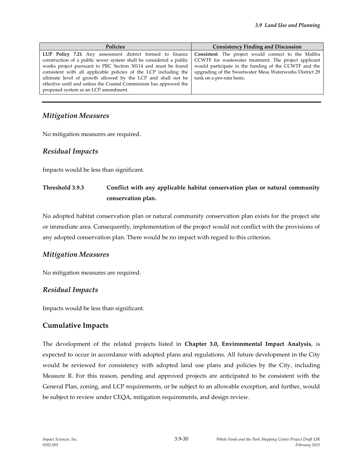| <b>Policies</b>                                                                                                                                                                                                                                                                                                                                                                                                                                                                                        | <b>Consistency Finding and Discussion</b>                                                                                                                                                              |
|--------------------------------------------------------------------------------------------------------------------------------------------------------------------------------------------------------------------------------------------------------------------------------------------------------------------------------------------------------------------------------------------------------------------------------------------------------------------------------------------------------|--------------------------------------------------------------------------------------------------------------------------------------------------------------------------------------------------------|
| LUP Policy 7.21 Any assessment district formed to finance Consistent. The project would connect to the Malibu<br>construction of a public sewer system shall be considered a public<br>works project pursuant to PRC Section 30114 and must be found<br>consistent with all applicable policies of the LCP including the<br>ultimate level of growth allowed by the LCP and shall not be<br>effective until and unless the Coastal Commission has approved the<br>proposed system as an LCP amendment. | CCWTF for wastewater treatment. The project applicant<br>would participate in the funding of the CCWTF and the<br>upgrading of the Sweetwater Mesa Waterworks District 29<br>tank on a pro-rata basis. |

### *Mitigation Measures*

No mitigation measures are required.

#### *Residual Impacts*

Impacts would be less than significant.

# **Threshold 3.9.3 Conflict with any applicable habitat conservation plan or natural community conservation plan.**

No adopted habitat conservation plan or natural community conservation plan exists for the project site or immediate area. Consequently, implementation of the project would not conflict with the provisions of any adopted conservation plan. There would be no impact with regard to this criterion.

### *Mitigation Measures*

No mitigation measures are required.

### *Residual Impacts*

Impacts would be less than significant.

### **Cumulative Impacts**

The development of the related projects listed in **Chapter 3.0, Environmental Impact Analysis**, is expected to occur in accordance with adopted plans and regulations. All future development in the City would be reviewed for consistency with adopted land use plans and policies by the City, including Measure R. For this reason, pending and approved projects are anticipated to be consistent with the General Plan, zoning, and LCP requirements, or be subject to an allowable exception, and further, would be subject to review under CEQA, mitigation requirements, and design review.